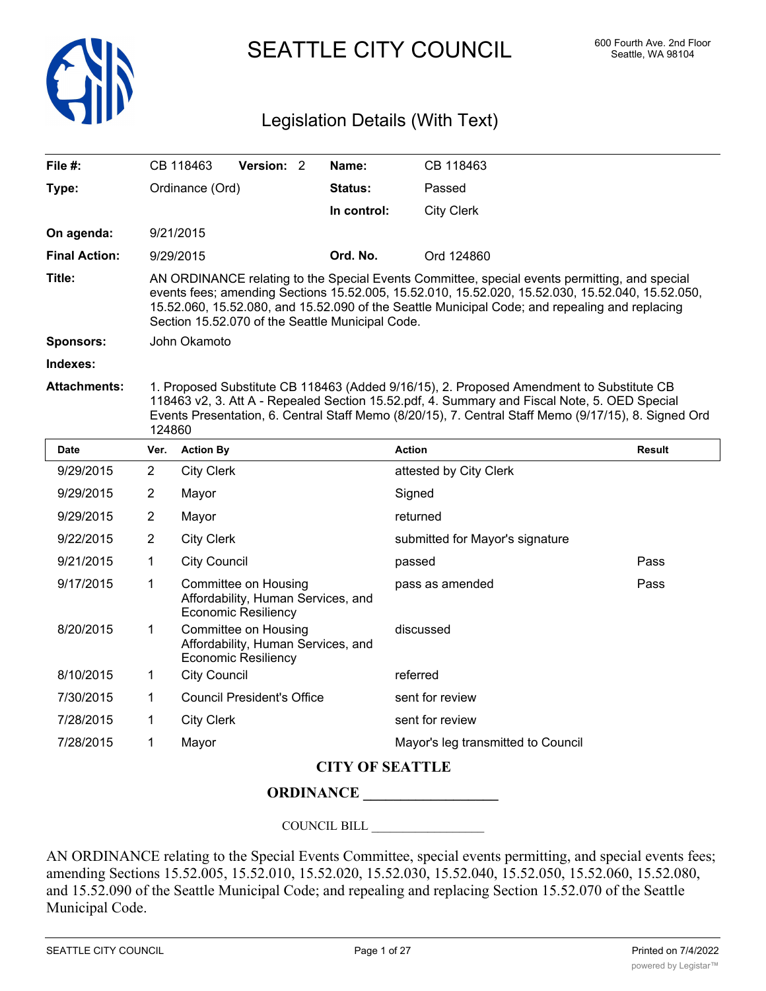

SEATTLE CITY COUNCIL 600 Fourth Ave. 2nd Floor

# Legislation Details (With Text)

| File #:                                                                                                                                                                                                                                                                                                                           |                                                                                                                                                                                                                                                                                                                                                         | CB 118463                                                                                | Version: 2 |         | Name:                              | CB 118463                                              |      |  |
|-----------------------------------------------------------------------------------------------------------------------------------------------------------------------------------------------------------------------------------------------------------------------------------------------------------------------------------|---------------------------------------------------------------------------------------------------------------------------------------------------------------------------------------------------------------------------------------------------------------------------------------------------------------------------------------------------------|------------------------------------------------------------------------------------------|------------|---------|------------------------------------|--------------------------------------------------------|------|--|
| Type:                                                                                                                                                                                                                                                                                                                             |                                                                                                                                                                                                                                                                                                                                                         | Ordinance (Ord)                                                                          |            | Status: | Passed                             |                                                        |      |  |
|                                                                                                                                                                                                                                                                                                                                   |                                                                                                                                                                                                                                                                                                                                                         |                                                                                          |            |         | In control:                        | <b>City Clerk</b>                                      |      |  |
| On agenda:                                                                                                                                                                                                                                                                                                                        |                                                                                                                                                                                                                                                                                                                                                         | 9/21/2015                                                                                |            |         |                                    |                                                        |      |  |
| <b>Final Action:</b>                                                                                                                                                                                                                                                                                                              |                                                                                                                                                                                                                                                                                                                                                         | 9/29/2015                                                                                |            |         | Ord. No.                           | Ord 124860                                             |      |  |
| Title:                                                                                                                                                                                                                                                                                                                            | AN ORDINANCE relating to the Special Events Committee, special events permitting, and special<br>events fees; amending Sections 15.52.005, 15.52.010, 15.52.020, 15.52.030, 15.52.040, 15.52.050,<br>15.52.060, 15.52.080, and 15.52.090 of the Seattle Municipal Code; and repealing and replacing<br>Section 15.52.070 of the Seattle Municipal Code. |                                                                                          |            |         |                                    |                                                        |      |  |
| Sponsors:                                                                                                                                                                                                                                                                                                                         | John Okamoto                                                                                                                                                                                                                                                                                                                                            |                                                                                          |            |         |                                    |                                                        |      |  |
| Indexes:                                                                                                                                                                                                                                                                                                                          |                                                                                                                                                                                                                                                                                                                                                         |                                                                                          |            |         |                                    |                                                        |      |  |
| <b>Attachments:</b><br>1. Proposed Substitute CB 118463 (Added 9/16/15), 2. Proposed Amendment to Substitute CB<br>118463 v2, 3. Att A - Repealed Section 15.52.pdf, 4. Summary and Fiscal Note, 5. OED Special<br>Events Presentation, 6. Central Staff Memo (8/20/15), 7. Central Staff Memo (9/17/15), 8. Signed Ord<br>124860 |                                                                                                                                                                                                                                                                                                                                                         |                                                                                          |            |         |                                    |                                                        |      |  |
| <b>Date</b>                                                                                                                                                                                                                                                                                                                       | Ver.                                                                                                                                                                                                                                                                                                                                                    | <b>Action By</b>                                                                         |            |         | <b>Action</b>                      | <b>Result</b>                                          |      |  |
| 9/29/2015                                                                                                                                                                                                                                                                                                                         | $\overline{2}$                                                                                                                                                                                                                                                                                                                                          | <b>City Clerk</b>                                                                        |            |         | attested by City Clerk             |                                                        |      |  |
| 9/29/2015                                                                                                                                                                                                                                                                                                                         | $\overline{2}$                                                                                                                                                                                                                                                                                                                                          | Mayor                                                                                    |            |         |                                    | Signed                                                 |      |  |
| 9/29/2015                                                                                                                                                                                                                                                                                                                         | $\overline{2}$                                                                                                                                                                                                                                                                                                                                          | Mayor                                                                                    |            |         |                                    | returned                                               |      |  |
| 9/22/2015                                                                                                                                                                                                                                                                                                                         | $\overline{2}$                                                                                                                                                                                                                                                                                                                                          | <b>City Clerk</b>                                                                        |            |         |                                    | submitted for Mayor's signature                        |      |  |
| 9/21/2015                                                                                                                                                                                                                                                                                                                         | 1                                                                                                                                                                                                                                                                                                                                                       | <b>City Council</b>                                                                      |            |         |                                    | passed                                                 | Pass |  |
| 9/17/2015                                                                                                                                                                                                                                                                                                                         | 1                                                                                                                                                                                                                                                                                                                                                       | Committee on Housing<br>Affordability, Human Services, and<br><b>Economic Resiliency</b> |            |         | Pass<br>pass as amended            |                                                        |      |  |
| 8/20/2015                                                                                                                                                                                                                                                                                                                         | $\mathbf{1}$                                                                                                                                                                                                                                                                                                                                            | Committee on Housing<br>Affordability, Human Services, and<br><b>Economic Resiliency</b> |            |         | discussed                          |                                                        |      |  |
| 8/10/2015                                                                                                                                                                                                                                                                                                                         | 1                                                                                                                                                                                                                                                                                                                                                       | <b>City Council</b>                                                                      |            |         | referred                           |                                                        |      |  |
| 7/30/2015                                                                                                                                                                                                                                                                                                                         | 1                                                                                                                                                                                                                                                                                                                                                       | <b>Council President's Office</b>                                                        |            |         | sent for review                    |                                                        |      |  |
| 7/28/2015                                                                                                                                                                                                                                                                                                                         | 1                                                                                                                                                                                                                                                                                                                                                       | <b>City Clerk</b>                                                                        |            |         |                                    | sent for review                                        |      |  |
| 7/28/2015                                                                                                                                                                                                                                                                                                                         | 1                                                                                                                                                                                                                                                                                                                                                       | Mayor                                                                                    |            |         | Mayor's leg transmitted to Council |                                                        |      |  |
|                                                                                                                                                                                                                                                                                                                                   |                                                                                                                                                                                                                                                                                                                                                         |                                                                                          |            |         |                                    | $C_{\mathbf{F}}$ , $C_{\mathbf{F}}$ , $C_{\mathbf{F}}$ |      |  |

# **CITY OF SEATTLE**

## **ORDINANCE \_\_\_\_\_\_\_\_\_\_\_\_\_\_\_\_\_\_**

COUNCIL BILL \_\_\_\_\_\_\_\_\_\_\_\_\_\_\_\_\_\_

AN ORDINANCE relating to the Special Events Committee, special events permitting, and special events fees; amending Sections 15.52.005, 15.52.010, 15.52.020, 15.52.030, 15.52.040, 15.52.050, 15.52.060, 15.52.080, and 15.52.090 of the Seattle Municipal Code; and repealing and replacing Section 15.52.070 of the Seattle Municipal Code.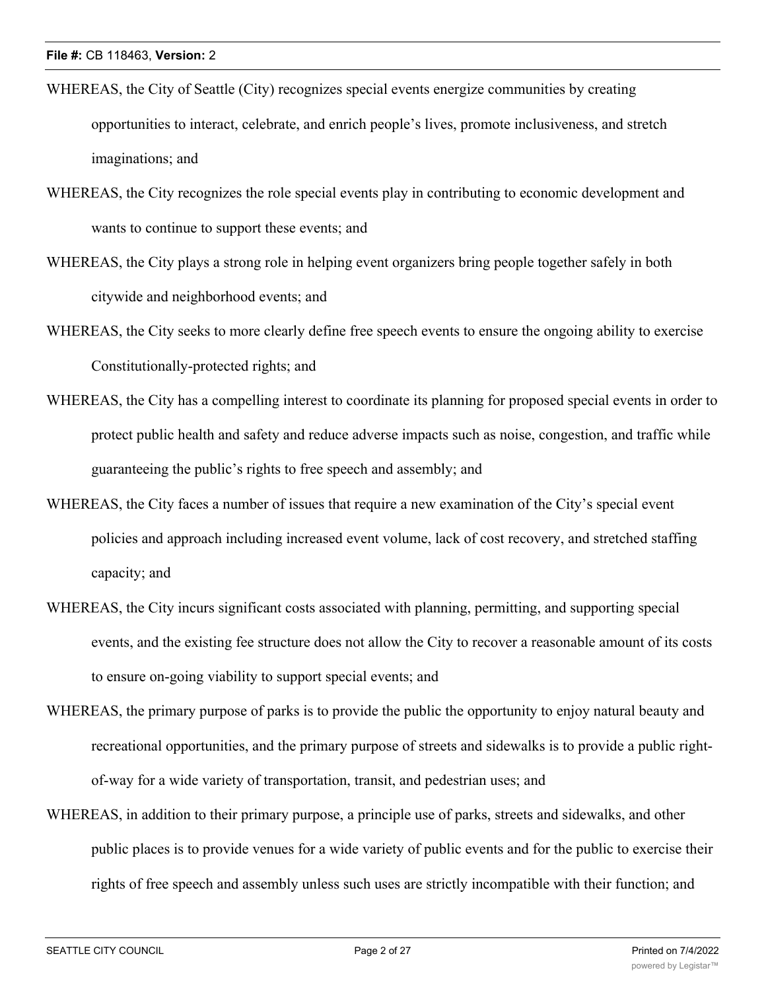- WHEREAS, the City of Seattle (City) recognizes special events energize communities by creating opportunities to interact, celebrate, and enrich people's lives, promote inclusiveness, and stretch imaginations; and
- WHEREAS, the City recognizes the role special events play in contributing to economic development and wants to continue to support these events; and
- WHEREAS, the City plays a strong role in helping event organizers bring people together safely in both citywide and neighborhood events; and
- WHEREAS, the City seeks to more clearly define free speech events to ensure the ongoing ability to exercise Constitutionally-protected rights; and
- WHEREAS, the City has a compelling interest to coordinate its planning for proposed special events in order to protect public health and safety and reduce adverse impacts such as noise, congestion, and traffic while guaranteeing the public's rights to free speech and assembly; and
- WHEREAS, the City faces a number of issues that require a new examination of the City's special event policies and approach including increased event volume, lack of cost recovery, and stretched staffing capacity; and
- WHEREAS, the City incurs significant costs associated with planning, permitting, and supporting special events, and the existing fee structure does not allow the City to recover a reasonable amount of its costs to ensure on-going viability to support special events; and
- WHEREAS, the primary purpose of parks is to provide the public the opportunity to enjoy natural beauty and recreational opportunities, and the primary purpose of streets and sidewalks is to provide a public rightof-way for a wide variety of transportation, transit, and pedestrian uses; and
- WHEREAS, in addition to their primary purpose, a principle use of parks, streets and sidewalks, and other public places is to provide venues for a wide variety of public events and for the public to exercise their rights of free speech and assembly unless such uses are strictly incompatible with their function; and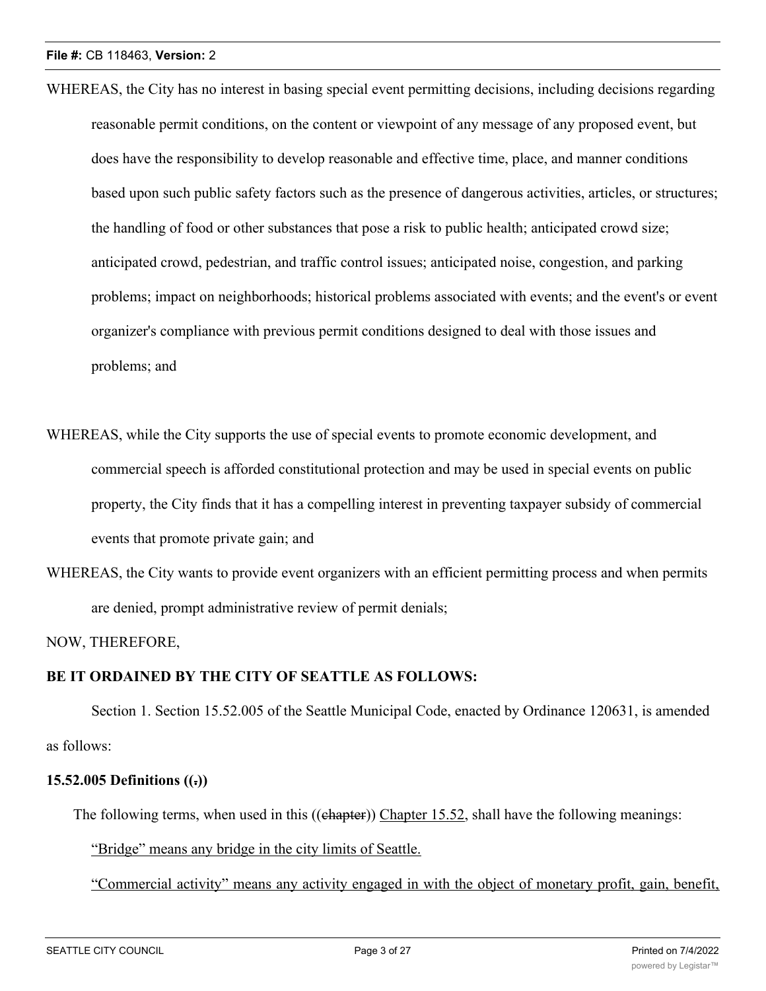- WHEREAS, the City has no interest in basing special event permitting decisions, including decisions regarding reasonable permit conditions, on the content or viewpoint of any message of any proposed event, but does have the responsibility to develop reasonable and effective time, place, and manner conditions based upon such public safety factors such as the presence of dangerous activities, articles, or structures; the handling of food or other substances that pose a risk to public health; anticipated crowd size; anticipated crowd, pedestrian, and traffic control issues; anticipated noise, congestion, and parking problems; impact on neighborhoods; historical problems associated with events; and the event's or event organizer's compliance with previous permit conditions designed to deal with those issues and problems; and
- WHEREAS, while the City supports the use of special events to promote economic development, and commercial speech is afforded constitutional protection and may be used in special events on public property, the City finds that it has a compelling interest in preventing taxpayer subsidy of commercial events that promote private gain; and
- WHEREAS, the City wants to provide event organizers with an efficient permitting process and when permits are denied, prompt administrative review of permit denials;

NOW, THEREFORE,

### **BE IT ORDAINED BY THE CITY OF SEATTLE AS FOLLOWS:**

Section 1. Section 15.52.005 of the Seattle Municipal Code, enacted by Ordinance 120631, is amended as follows:

### **15.52.005 Definitions ((.))**

The following terms, when used in this ((ehapter)) Chapter 15.52, shall have the following meanings:

"Bridge" means any bridge in the city limits of Seattle.

"Commercial activity" means any activity engaged in with the object of monetary profit, gain, benefit,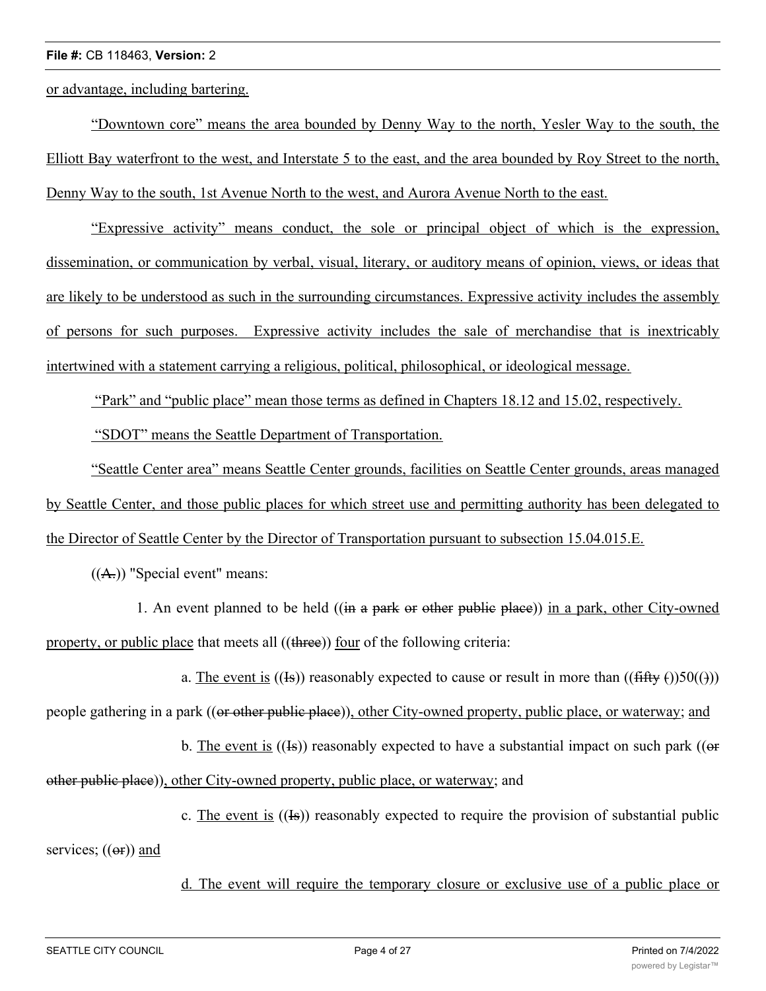or advantage, including bartering.

"Downtown core" means the area bounded by Denny Way to the north, Yesler Way to the south, the Elliott Bay waterfront to the west, and Interstate 5 to the east, and the area bounded by Roy Street to the north, Denny Way to the south, 1st Avenue North to the west, and Aurora Avenue North to the east.

"Expressive activity" means conduct, the sole or principal object of which is the expression, dissemination, or communication by verbal, visual, literary, or auditory means of opinion, views, or ideas that are likely to be understood as such in the surrounding circumstances. Expressive activity includes the assembly of persons for such purposes. Expressive activity includes the sale of merchandise that is inextricably intertwined with a statement carrying a religious, political, philosophical, or ideological message.

"Park" and "public place" mean those terms as defined in Chapters 18.12 and 15.02, respectively.

"SDOT" means the Seattle Department of Transportation.

"Seattle Center area" means Seattle Center grounds, facilities on Seattle Center grounds, areas managed by Seattle Center, and those public places for which street use and permitting authority has been delegated to the Director of Seattle Center by the Director of Transportation pursuant to subsection 15.04.015.E.

 $((A))$  "Special event" means:

1. An event planned to be held ((in a park or other public place)) in a park, other City-owned property, or public place that meets all ((three)) four of the following criteria:

a. The event is ((Is)) reasonably expected to cause or result in more than (( $\frac{f\{f\{f\}}(f)}{f}$ )50( $\}$ ))

people gathering in a park ((or other public place)), other City-owned property, public place, or waterway; and

b. The event is  $((I<sub>s</sub>))$  reasonably expected to have a substantial impact on such park (( $\Theta$ )

other public place)), other City-owned property, public place, or waterway; and

c. The event is ((Is)) reasonably expected to require the provision of substantial public

services;  $((er))$  and

d. The event will require the temporary closure or exclusive use of a public place or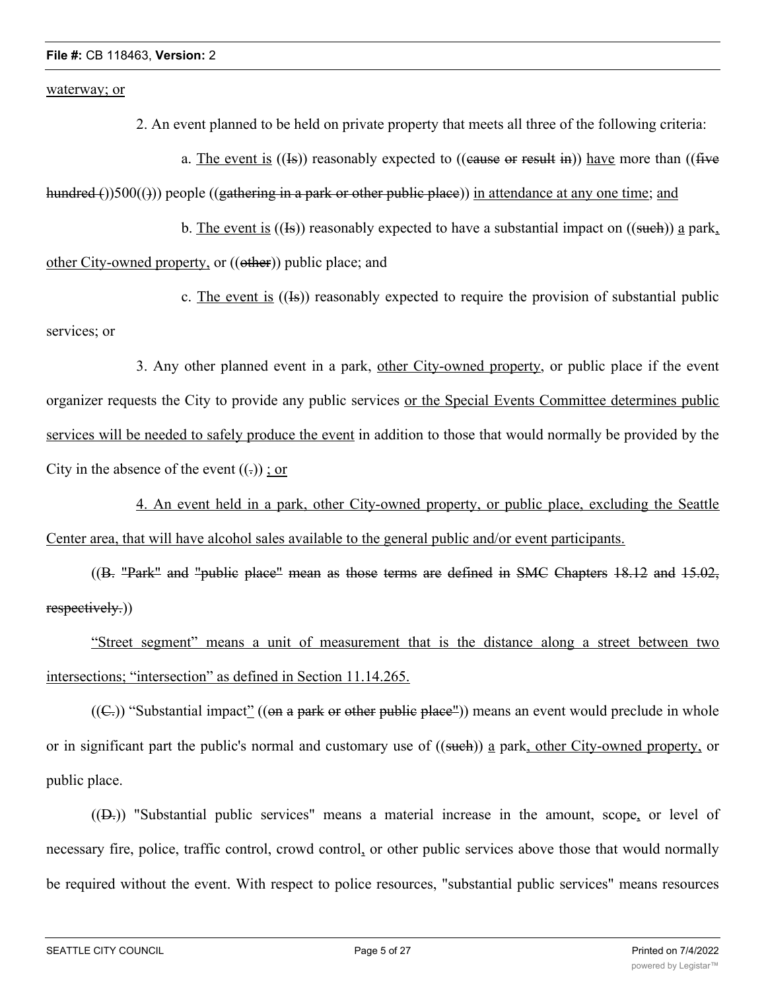waterway; or

2. An event planned to be held on private property that meets all three of the following criteria:

a. The event is  $((\text{Is}))$  reasonably expected to  $((\text{cause or result in}))$  have more than  $((\text{five$ 

hundred ())500(())) people ((gathering in a park or other public place)) in attendance at any one time; and

b. The event is  $((\text{Is}))$  reasonably expected to have a substantial impact on  $((\text{such}) )$  a park,

other City-owned property, or ((other)) public place; and

c. The event is  $((\text{Is}))$  reasonably expected to require the provision of substantial public services; or

3. Any other planned event in a park, other City-owned property, or public place if the event organizer requests the City to provide any public services or the Special Events Committee determines public services will be needed to safely produce the event in addition to those that would normally be provided by the City in the absence of the event  $((.)$ ; or

4. An event held in a park, other City-owned property, or public place, excluding the Seattle Center area, that will have alcohol sales available to the general public and/or event participants.

((B. "Park" and "public place" mean as those terms are defined in SMC Chapters 18.12 and 15.02, respectively.))

"Street segment" means a unit of measurement that is the distance along a street between two intersections; "intersection" as defined in Section 11.14.265.

 $((C))$  "Substantial impact" ((on a park or other public place")) means an event would preclude in whole or in significant part the public's normal and customary use of ((such)) a park, other City-owned property, or public place.

 $((D<sub>z</sub>))$  "Substantial public services" means a material increase in the amount, scope, or level of necessary fire, police, traffic control, crowd control, or other public services above those that would normally be required without the event. With respect to police resources, "substantial public services" means resources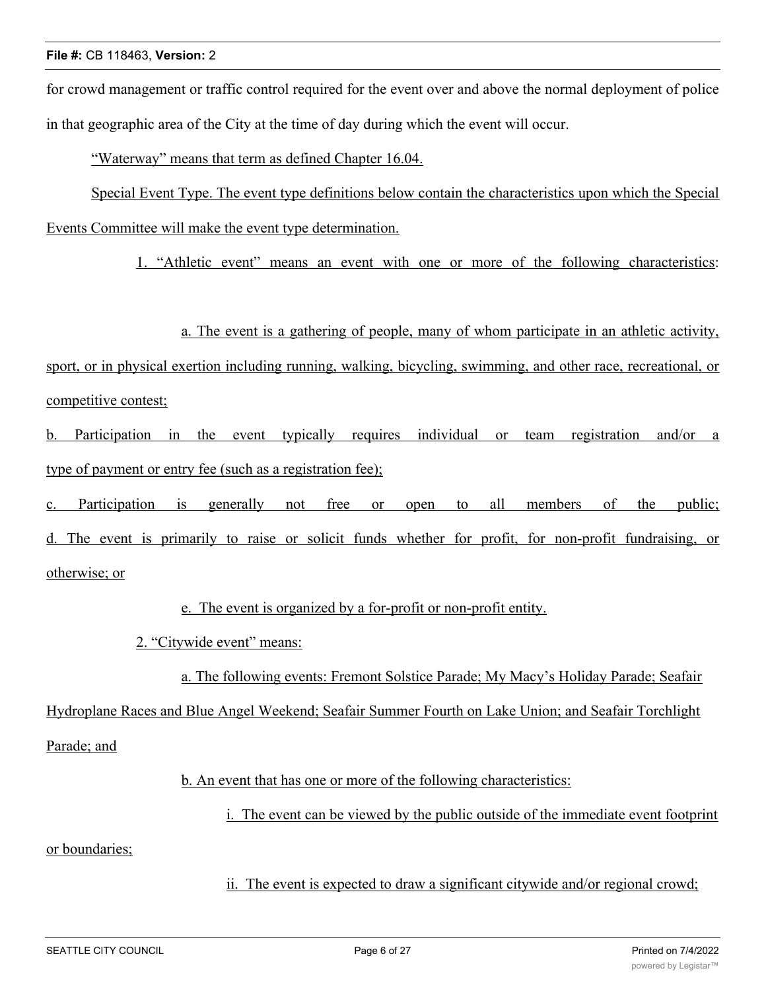for crowd management or traffic control required for the event over and above the normal deployment of police in that geographic area of the City at the time of day during which the event will occur.

"Waterway" means that term as defined Chapter 16.04.

Special Event Type. The event type definitions below contain the characteristics upon which the Special Events Committee will make the event type determination.

1. "Athletic event" means an event with one or more of the following characteristics:

a. The event is a gathering of people, many of whom participate in an athletic activity,

sport, or in physical exertion including running, walking, bicycling, swimming, and other race, recreational, or competitive contest;

b. Participation in the event typically requires individual or team registration and/or a type of payment or entry fee (such as a registration fee);

c. Participation is generally not free or open to all members of the public;

d. The event is primarily to raise or solicit funds whether for profit, for non-profit fundraising, or otherwise; or

e. The event is organized by a for-profit or non-profit entity.

2. "Citywide event" means:

a. The following events: Fremont Solstice Parade; My Macy's Holiday Parade; Seafair

Hydroplane Races and Blue Angel Weekend; Seafair Summer Fourth on Lake Union; and Seafair Torchlight

Parade; and

b. An event that has one or more of the following characteristics:

i. The event can be viewed by the public outside of the immediate event footprint

or boundaries;

ii. The event is expected to draw a significant citywide and/or regional crowd;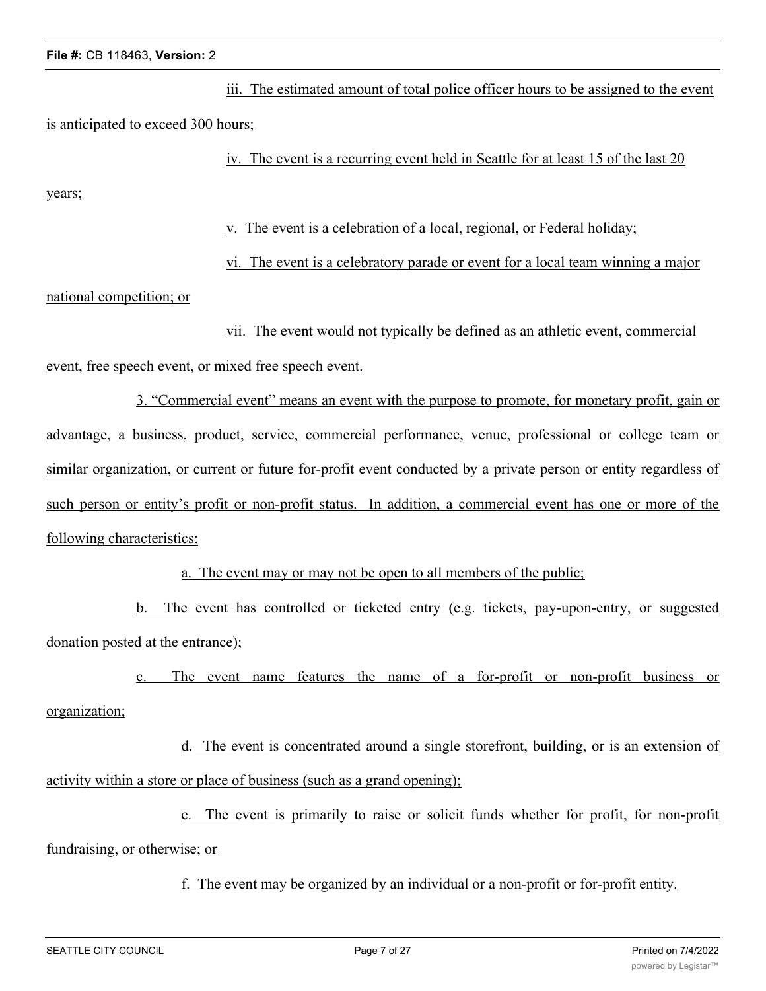iii. The estimated amount of total police officer hours to be assigned to the event is anticipated to exceed 300 hours;

iv. The event is a recurring event held in Seattle for at least 15 of the last 20

years;

v. The event is a celebration of a local, regional, or Federal holiday;

vi. The event is a celebratory parade or event for a local team winning a major

national competition; or

vii. The event would not typically be defined as an athletic event, commercial event, free speech event, or mixed free speech event.

3. "Commercial event" means an event with the purpose to promote, for monetary profit, gain or advantage, a business, product, service, commercial performance, venue, professional or college team or similar organization, or current or future for-profit event conducted by a private person or entity regardless of such person or entity's profit or non-profit status. In addition, a commercial event has one or more of the following characteristics:

a. The event may or may not be open to all members of the public;

b. The event has controlled or ticketed entry (e.g. tickets, pay-upon-entry, or suggested donation posted at the entrance);

c. The event name features the name of a for-profit or non-profit business or organization;

d. The event is concentrated around a single storefront, building, or is an extension of activity within a store or place of business (such as a grand opening);

e. The event is primarily to raise or solicit funds whether for profit, for non-profit fundraising, or otherwise; or

f. The event may be organized by an individual or a non-profit or for-profit entity.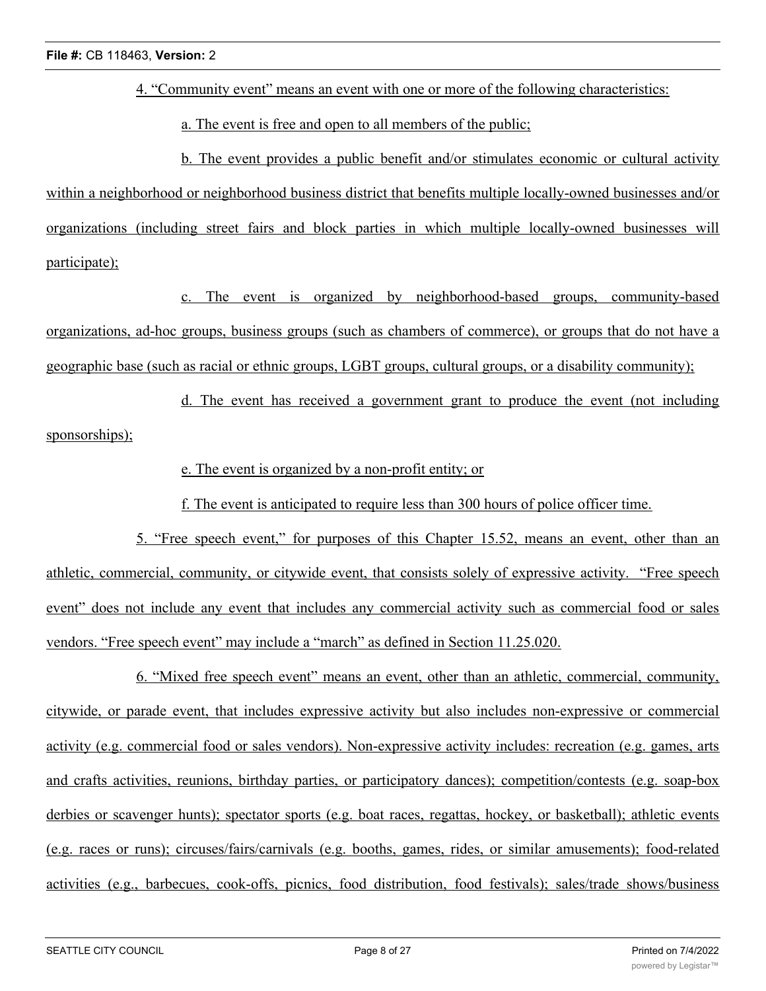4. "Community event" means an event with one or more of the following characteristics:

a. The event is free and open to all members of the public;

b. The event provides a public benefit and/or stimulates economic or cultural activity within a neighborhood or neighborhood business district that benefits multiple locally-owned businesses and/or organizations (including street fairs and block parties in which multiple locally-owned businesses will participate);

c. The event is organized by neighborhood-based groups, community-based organizations, ad-hoc groups, business groups (such as chambers of commerce), or groups that do not have a geographic base (such as racial or ethnic groups, LGBT groups, cultural groups, or a disability community);

d. The event has received a government grant to produce the event (not including sponsorships);

e. The event is organized by a non-profit entity; or

f. The event is anticipated to require less than 300 hours of police officer time.

5. "Free speech event," for purposes of this Chapter 15.52, means an event, other than an athletic, commercial, community, or citywide event, that consists solely of expressive activity. "Free speech event" does not include any event that includes any commercial activity such as commercial food or sales vendors. "Free speech event" may include a "march" as defined in Section 11.25.020.

6. "Mixed free speech event" means an event, other than an athletic, commercial, community, citywide, or parade event, that includes expressive activity but also includes non-expressive or commercial activity (e.g. commercial food or sales vendors). Non-expressive activity includes: recreation (e.g. games, arts and crafts activities, reunions, birthday parties, or participatory dances); competition/contests (e.g. soap-box derbies or scavenger hunts); spectator sports (e.g. boat races, regattas, hockey, or basketball); athletic events (e.g. races or runs); circuses/fairs/carnivals (e.g. booths, games, rides, or similar amusements); food-related activities (e.g., barbecues, cook-offs, picnics, food distribution, food festivals); sales/trade shows/business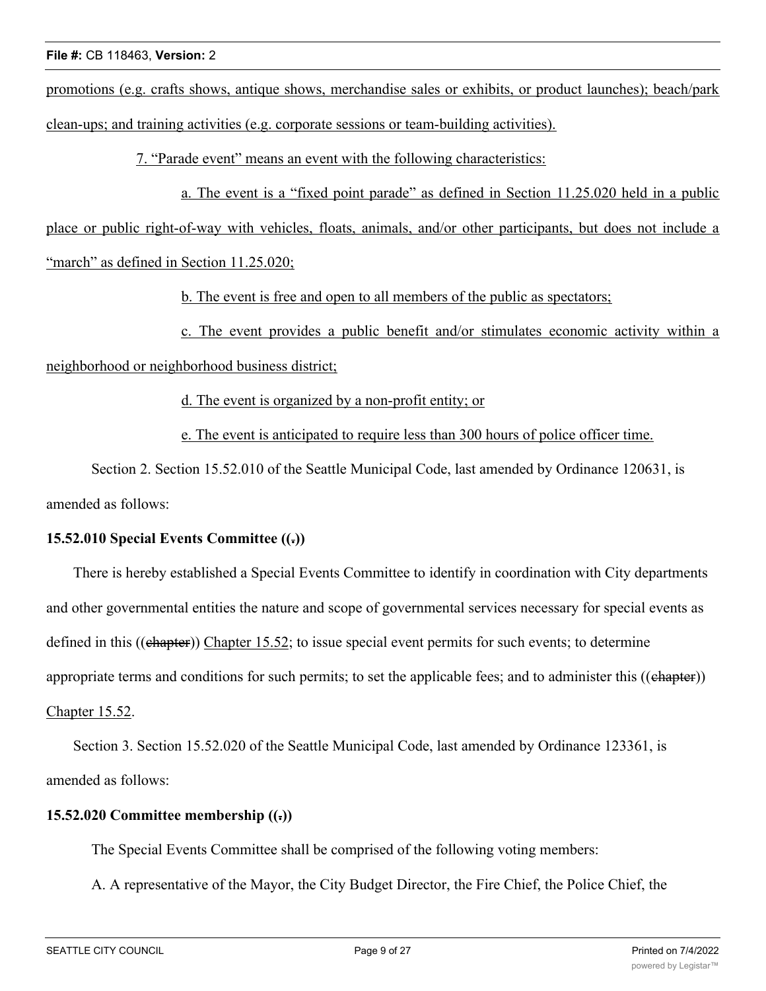promotions (e.g. crafts shows, antique shows, merchandise sales or exhibits, or product launches); beach/park clean-ups; and training activities (e.g. corporate sessions or team-building activities).

7. "Parade event" means an event with the following characteristics:

a. The event is a "fixed point parade" as defined in Section 11.25.020 held in a public

place or public right-of-way with vehicles, floats, animals, and/or other participants, but does not include a "march" as defined in Section 11.25.020;

b. The event is free and open to all members of the public as spectators;

c. The event provides a public benefit and/or stimulates economic activity within a

neighborhood or neighborhood business district;

d. The event is organized by a non-profit entity; or

e. The event is anticipated to require less than 300 hours of police officer time.

Section 2. Section 15.52.010 of the Seattle Municipal Code, last amended by Ordinance 120631, is amended as follows:

### **15.52.010 Special Events Committee ((.))**

There is hereby established a Special Events Committee to identify in coordination with City departments and other governmental entities the nature and scope of governmental services necessary for special events as defined in this ((chapter)) Chapter 15.52; to issue special event permits for such events; to determine appropriate terms and conditions for such permits; to set the applicable fees; and to administer this  $((ehapter))$ Chapter 15.52.

Section 3. Section 15.52.020 of the Seattle Municipal Code, last amended by Ordinance 123361, is amended as follows:

### **15.52.020 Committee membership ((.))**

The Special Events Committee shall be comprised of the following voting members:

A. A representative of the Mayor, the City Budget Director, the Fire Chief, the Police Chief, the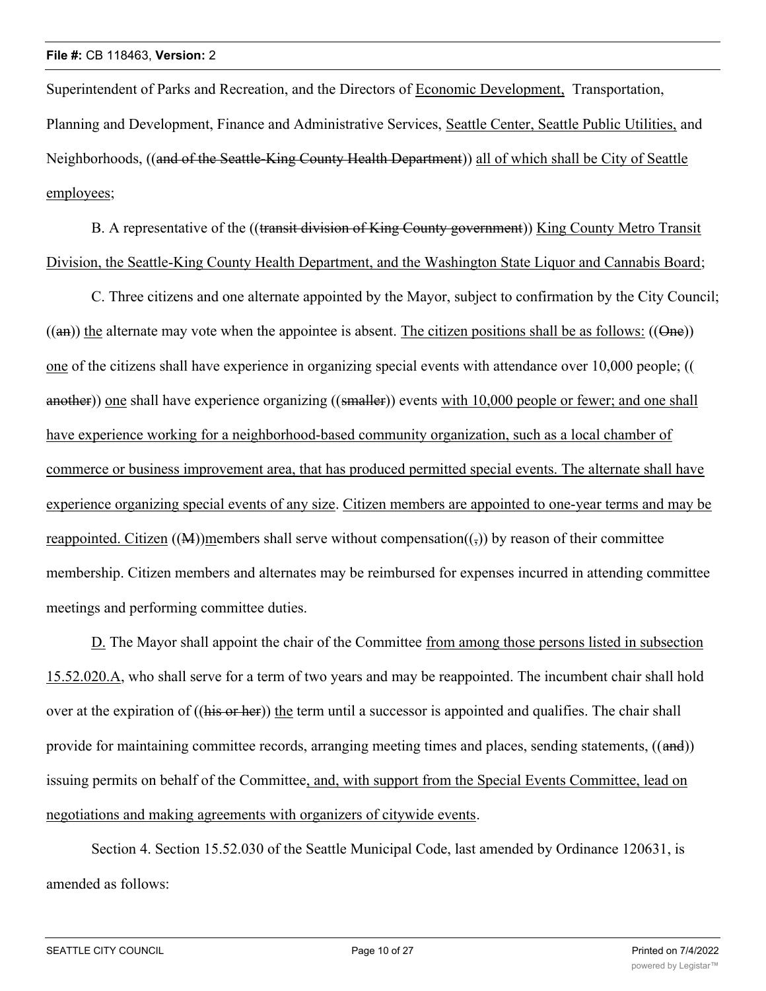Superintendent of Parks and Recreation, and the Directors of Economic Development, Transportation, Planning and Development, Finance and Administrative Services, Seattle Center, Seattle Public Utilities, and Neighborhoods, ((and of the Seattle-King County Health Department)) all of which shall be City of Seattle employees;

B. A representative of the ((transit division of King County government)) King County Metro Transit Division, the Seattle-King County Health Department, and the Washington State Liquor and Cannabis Board;

C. Three citizens and one alternate appointed by the Mayor, subject to confirmation by the City Council;  $((an))$  the alternate may vote when the appointee is absent. The citizen positions shall be as follows:  $((\Theta_{\text{He}}))$ one of the citizens shall have experience in organizing special events with attendance over 10,000 people; (( another)) one shall have experience organizing ((smaller)) events with 10,000 people or fewer; and one shall have experience working for a neighborhood-based community organization, such as a local chamber of commerce or business improvement area, that has produced permitted special events. The alternate shall have experience organizing special events of any size. Citizen members are appointed to one-year terms and may be reappointed. Citizen ((M))members shall serve without compensation( $(\cdot,$ )) by reason of their committee membership. Citizen members and alternates may be reimbursed for expenses incurred in attending committee meetings and performing committee duties.

D. The Mayor shall appoint the chair of the Committee from among those persons listed in subsection 15.52.020.A, who shall serve for a term of two years and may be reappointed. The incumbent chair shall hold over at the expiration of ((his or her)) the term until a successor is appointed and qualifies. The chair shall provide for maintaining committee records, arranging meeting times and places, sending statements, ((and)) issuing permits on behalf of the Committee, and, with support from the Special Events Committee, lead on negotiations and making agreements with organizers of citywide events.

Section 4. Section 15.52.030 of the Seattle Municipal Code, last amended by Ordinance 120631, is amended as follows: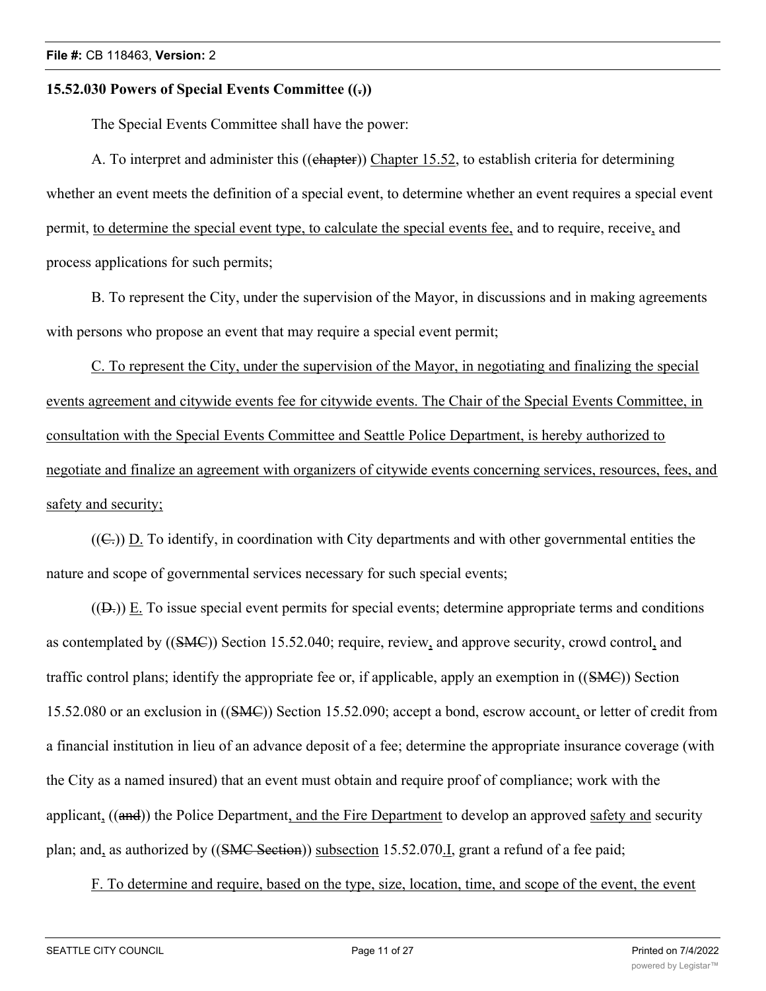### **15.52.030 Powers of Special Events Committee ((.))**

The Special Events Committee shall have the power:

A. To interpret and administer this ((chapter)) Chapter 15.52, to establish criteria for determining whether an event meets the definition of a special event, to determine whether an event requires a special event permit, to determine the special event type, to calculate the special events fee, and to require, receive, and process applications for such permits;

B. To represent the City, under the supervision of the Mayor, in discussions and in making agreements with persons who propose an event that may require a special event permit;

C. To represent the City, under the supervision of the Mayor, in negotiating and finalizing the special events agreement and citywide events fee for citywide events. The Chair of the Special Events Committee, in consultation with the Special Events Committee and Seattle Police Department, is hereby authorized to negotiate and finalize an agreement with organizers of citywide events concerning services, resources, fees, and safety and security;

 $((\mathbb{C}))$  D. To identify, in coordination with City departments and with other governmental entities the nature and scope of governmental services necessary for such special events;

 $((D<sub>z</sub>))$  E. To issue special event permits for special events; determine appropriate terms and conditions as contemplated by ((SMC)) Section 15.52.040; require, review, and approve security, crowd control, and traffic control plans; identify the appropriate fee or, if applicable, apply an exemption in ((SMC)) Section 15.52.080 or an exclusion in ((SMC)) Section 15.52.090; accept a bond, escrow account, or letter of credit from a financial institution in lieu of an advance deposit of a fee; determine the appropriate insurance coverage (with the City as a named insured) that an event must obtain and require proof of compliance; work with the applicant, ((and)) the Police Department, and the Fire Department to develop an approved safety and security plan; and, as authorized by ((SMC Section)) subsection 15.52.070. I, grant a refund of a fee paid;

F. To determine and require, based on the type, size, location, time, and scope of the event, the event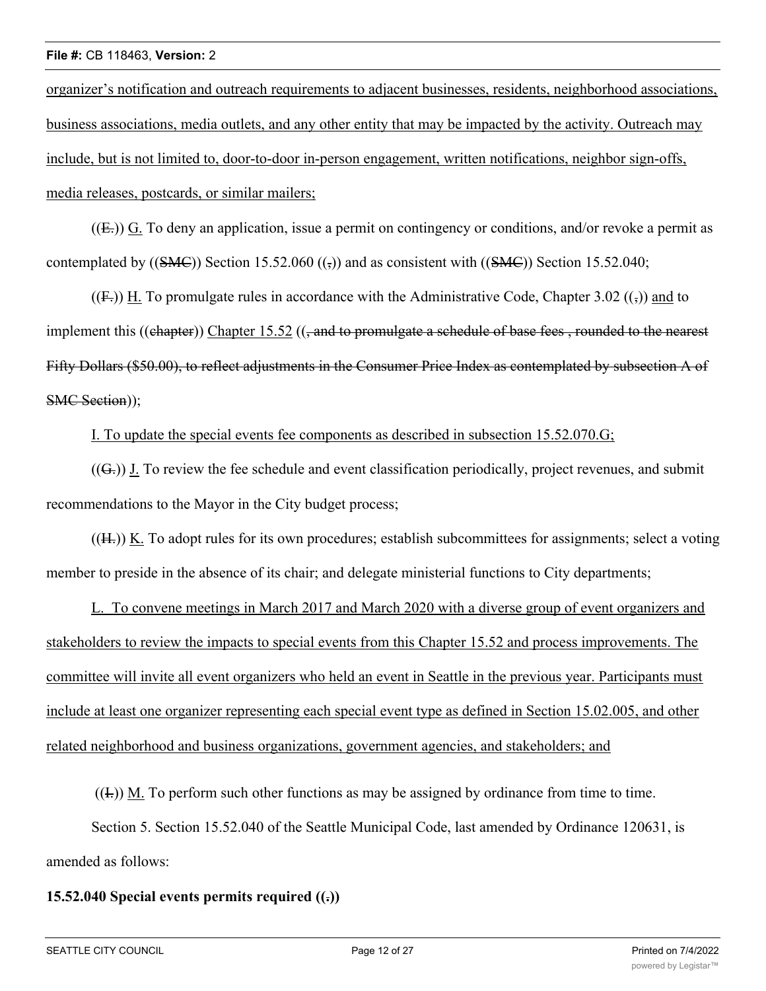organizer's notification and outreach requirements to adjacent businesses, residents, neighborhood associations, business associations, media outlets, and any other entity that may be impacted by the activity. Outreach may include, but is not limited to, door-to-door in-person engagement, written notifications, neighbor sign-offs, media releases, postcards, or similar mailers;

 $(\textbf{(E.)})$  G. To deny an application, issue a permit on contingency or conditions, and/or revoke a permit as contemplated by  $((\text{SMC}))$  Section 15.52.060  $((\overline{\mathbf{s}}))$  and as consistent with  $((\text{SMC}))$  Section 15.52.040;

 $((F<sub>1</sub>))$  H. To promulgate rules in accordance with the Administrative Code, Chapter 3.02  $(\cdot)$  and to implement this ((chapter)) Chapter 15.52 ((, and to promulgate a schedule of base fees, rounded to the nearest Fifty Dollars (\$50.00), to reflect adjustments in the Consumer Price Index as contemplated by subsection A of SMC Section));

I. To update the special events fee components as described in subsection 15.52.070.G;

 $((G<sub>z</sub>))$  J. To review the fee schedule and event classification periodically, project revenues, and submit recommendations to the Mayor in the City budget process;

 $(H<sub>z</sub>)$ ) K. To adopt rules for its own procedures; establish subcommittees for assignments; select a voting member to preside in the absence of its chair; and delegate ministerial functions to City departments;

L. To convene meetings in March 2017 and March 2020 with a diverse group of event organizers and stakeholders to review the impacts to special events from this Chapter 15.52 and process improvements. The committee will invite all event organizers who held an event in Seattle in the previous year. Participants must include at least one organizer representing each special event type as defined in Section 15.02.005, and other related neighborhood and business organizations, government agencies, and stakeholders; and

 $((1))$  M. To perform such other functions as may be assigned by ordinance from time to time.

Section 5. Section 15.52.040 of the Seattle Municipal Code, last amended by Ordinance 120631, is amended as follows:

### **15.52.040 Special events permits required ((.))**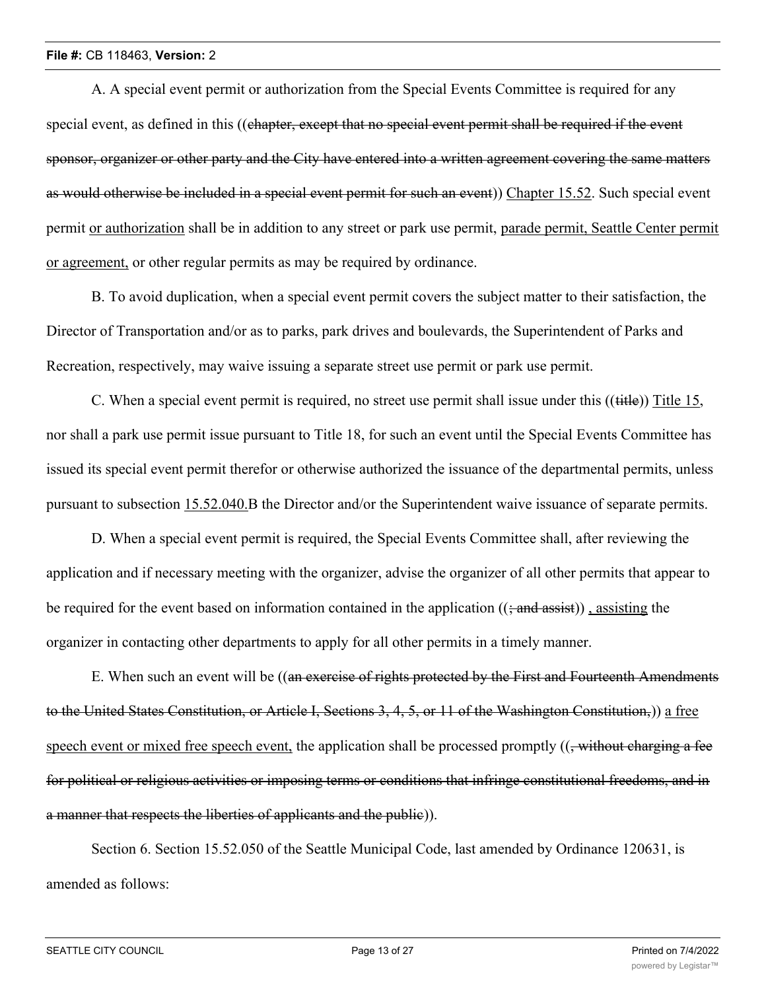A. A special event permit or authorization from the Special Events Committee is required for any special event, as defined in this ((chapter, except that no special event permit shall be required if the event sponsor, organizer or other party and the City have entered into a written agreement covering the same matters as would otherwise be included in a special event permit for such an event)) Chapter 15.52. Such special event permit or authorization shall be in addition to any street or park use permit, parade permit, Seattle Center permit or agreement, or other regular permits as may be required by ordinance.

B. To avoid duplication, when a special event permit covers the subject matter to their satisfaction, the Director of Transportation and/or as to parks, park drives and boulevards, the Superintendent of Parks and Recreation, respectively, may waive issuing a separate street use permit or park use permit.

C. When a special event permit is required, no street use permit shall issue under this ((title)) Title 15, nor shall a park use permit issue pursuant to Title 18, for such an event until the Special Events Committee has issued its special event permit therefor or otherwise authorized the issuance of the departmental permits, unless pursuant to subsection 15.52.040.B the Director and/or the Superintendent waive issuance of separate permits.

D. When a special event permit is required, the Special Events Committee shall, after reviewing the application and if necessary meeting with the organizer, advise the organizer of all other permits that appear to be required for the event based on information contained in the application  $((\frac{1}{2} \text{ and } \frac{1}{4} \text{ as} \text{ is})$ , assisting the organizer in contacting other departments to apply for all other permits in a timely manner.

E. When such an event will be ((an exercise of rights protected by the First and Fourteenth Amendments to the United States Constitution, or Article I, Sections 3, 4, 5, or 11 of the Washington Constitution,)) a free speech event or mixed free speech event, the application shall be processed promptly  $((\frac{1}{2}, \frac{1}{2}, \frac{1}{2}, \frac{1}{2}, \frac{1}{2}, \frac{1}{2}, \frac{1}{2})$ for political or religious activities or imposing terms or conditions that infringe constitutional freedoms, and in a manner that respects the liberties of applicants and the public)).

Section 6. Section 15.52.050 of the Seattle Municipal Code, last amended by Ordinance 120631, is amended as follows: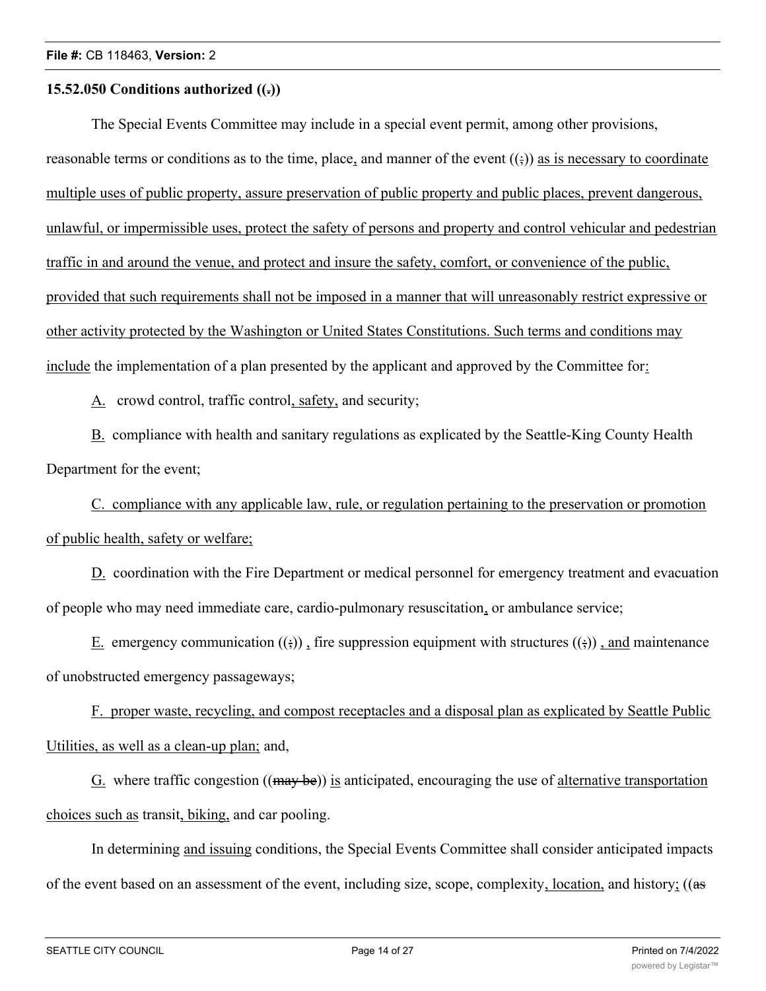### **15.52.050 Conditions authorized ((.))**

The Special Events Committee may include in a special event permit, among other provisions, reasonable terms or conditions as to the time, place, and manner of the event  $((\cdot))$  as is necessary to coordinate multiple uses of public property, assure preservation of public property and public places, prevent dangerous, unlawful, or impermissible uses, protect the safety of persons and property and control vehicular and pedestrian traffic in and around the venue, and protect and insure the safety, comfort, or convenience of the public, provided that such requirements shall not be imposed in a manner that will unreasonably restrict expressive or other activity protected by the Washington or United States Constitutions. Such terms and conditions may include the implementation of a plan presented by the applicant and approved by the Committee for:

A. crowd control, traffic control, safety, and security;

B. compliance with health and sanitary regulations as explicated by the Seattle-King County Health Department for the event;

C. compliance with any applicable law, rule, or regulation pertaining to the preservation or promotion of public health, safety or welfare;

D. coordination with the Fire Department or medical personnel for emergency treatment and evacuation of people who may need immediate care, cardio-pulmonary resuscitation, or ambulance service;

E. emergency communication  $((\cdot))$ , fire suppression equipment with structures  $((\cdot))$ , and maintenance of unobstructed emergency passageways;

F. proper waste, recycling, and compost receptacles and a disposal plan as explicated by Seattle Public Utilities, as well as a clean-up plan; and,

G. where traffic congestion  $((\text{may be}))$  is anticipated, encouraging the use of alternative transportation choices such as transit, biking, and car pooling.

In determining and issuing conditions, the Special Events Committee shall consider anticipated impacts of the event based on an assessment of the event, including size, scope, complexity, location, and history; ((as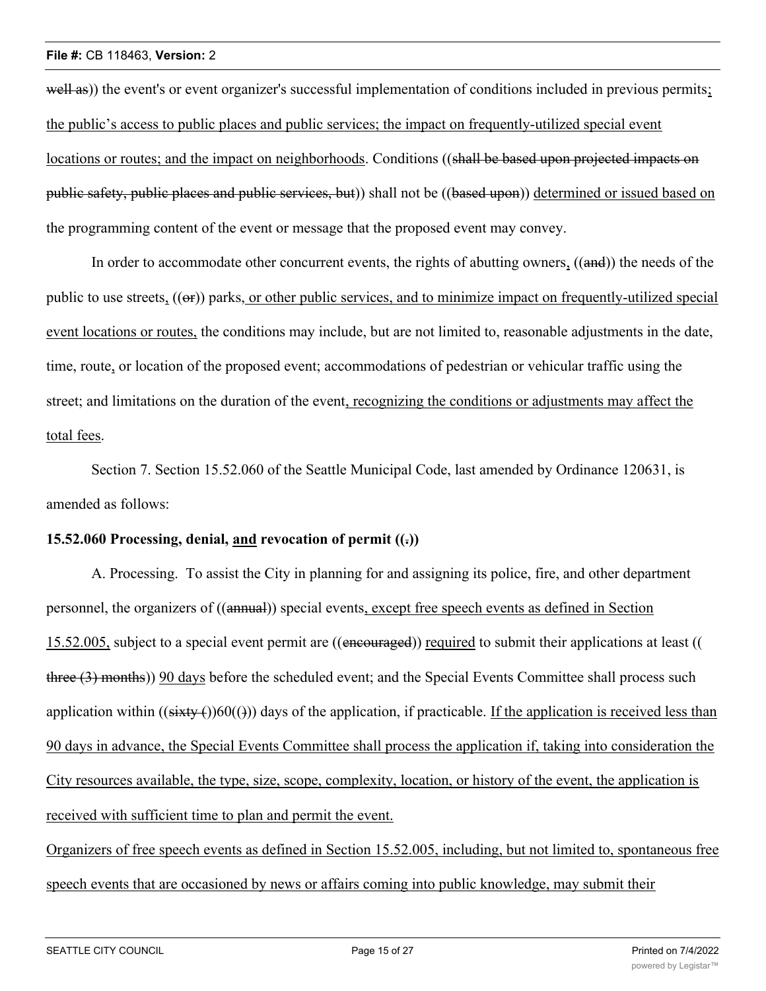well as)) the event's or event organizer's successful implementation of conditions included in previous permits; the public's access to public places and public services; the impact on frequently-utilized special event locations or routes; and the impact on neighborhoods. Conditions ((shall be based upon projected impacts on public safety, public places and public services, but)) shall not be ((based upon)) determined or issued based on the programming content of the event or message that the proposed event may convey.

In order to accommodate other concurrent events, the rights of abutting owners, ((and)) the needs of the public to use streets,  $((\Theta$ ) parks, or other public services, and to minimize impact on frequently-utilized special event locations or routes, the conditions may include, but are not limited to, reasonable adjustments in the date, time, route, or location of the proposed event; accommodations of pedestrian or vehicular traffic using the street; and limitations on the duration of the event, recognizing the conditions or adjustments may affect the total fees.

Section 7. Section 15.52.060 of the Seattle Municipal Code, last amended by Ordinance 120631, is amended as follows:

#### **15.52.060 Processing, denial, and revocation of permit ((.))**

A. Processing. To assist the City in planning for and assigning its police, fire, and other department personnel, the organizers of ((annual)) special events, except free speech events as defined in Section 15.52.005, subject to a special event permit are ((encouraged)) required to submit their applications at least (( three (3) months)) 90 days before the scheduled event; and the Special Events Committee shall process such application within  $((sixty)(60)())$  days of the application, if practicable. If the application is received less than 90 days in advance, the Special Events Committee shall process the application if, taking into consideration the City resources available, the type, size, scope, complexity, location, or history of the event, the application is received with sufficient time to plan and permit the event.

Organizers of free speech events as defined in Section 15.52.005, including, but not limited to, spontaneous free speech events that are occasioned by news or affairs coming into public knowledge, may submit their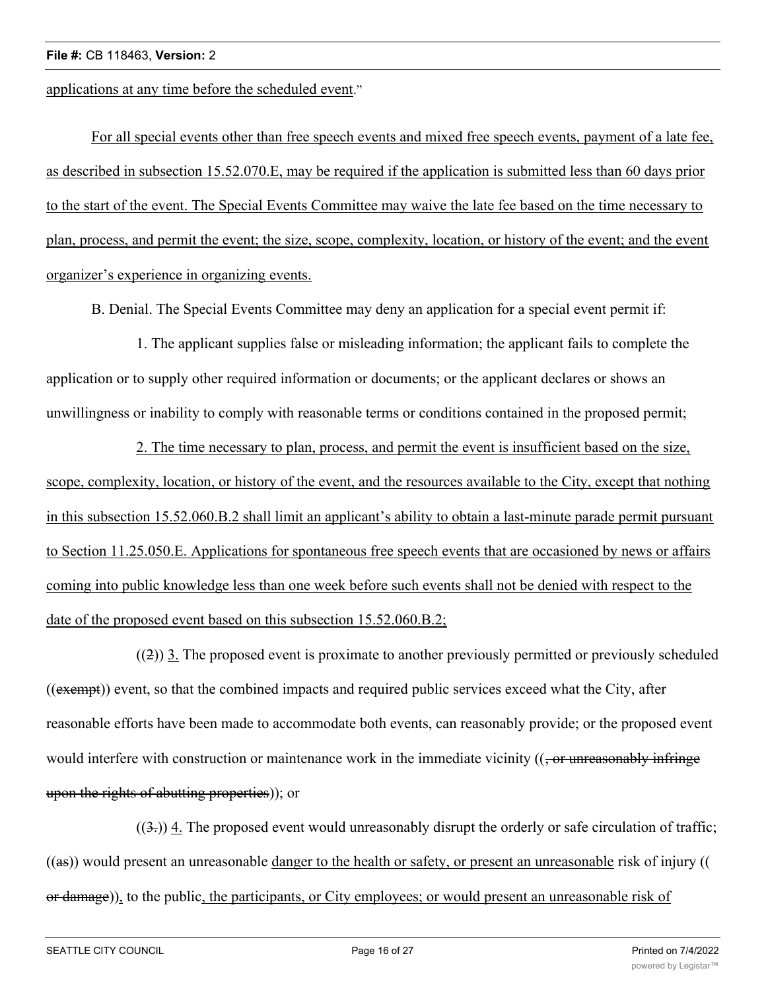applications at any time before the scheduled event."

For all special events other than free speech events and mixed free speech events, payment of a late fee, as described in subsection 15.52.070.E, may be required if the application is submitted less than 60 days prior to the start of the event. The Special Events Committee may waive the late fee based on the time necessary to plan, process, and permit the event; the size, scope, complexity, location, or history of the event; and the event organizer's experience in organizing events.

B. Denial. The Special Events Committee may deny an application for a special event permit if:

1. The applicant supplies false or misleading information; the applicant fails to complete the application or to supply other required information or documents; or the applicant declares or shows an unwillingness or inability to comply with reasonable terms or conditions contained in the proposed permit;

2. The time necessary to plan, process, and permit the event is insufficient based on the size, scope, complexity, location, or history of the event, and the resources available to the City, except that nothing in this subsection 15.52.060.B.2 shall limit an applicant's ability to obtain a last-minute parade permit pursuant to Section 11.25.050.E. Applications for spontaneous free speech events that are occasioned by news or affairs coming into public knowledge less than one week before such events shall not be denied with respect to the date of the proposed event based on this subsection 15.52.060.B.2;

 $((2))$  3. The proposed event is proximate to another previously permitted or previously scheduled ((exempt)) event, so that the combined impacts and required public services exceed what the City, after reasonable efforts have been made to accommodate both events, can reasonably provide; or the proposed event would interfere with construction or maintenance work in the immediate vicinity  $((\text{- or unreasonably infinite})$ upon the rights of abutting properties)); or

 $((3))$  4. The proposed event would unreasonably disrupt the orderly or safe circulation of traffic; ((as)) would present an unreasonable danger to the health or safety, or present an unreasonable risk of injury (( or damage)), to the public, the participants, or City employees; or would present an unreasonable risk of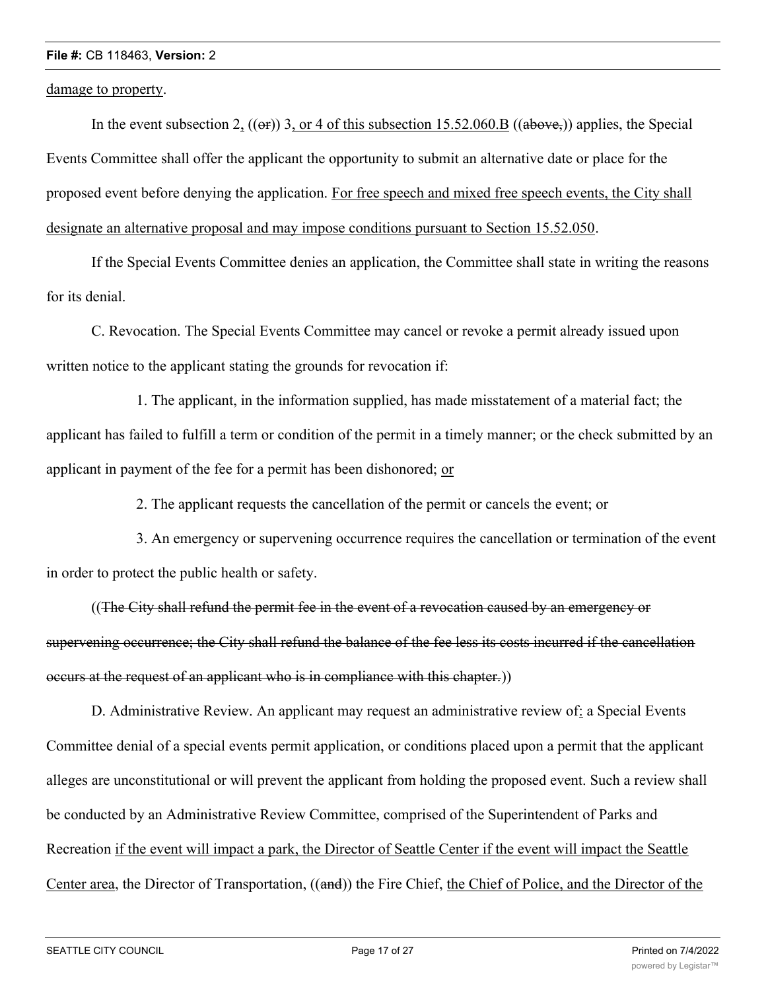damage to property.

In the event subsection 2,  $((\Theta F))$  3, or 4 of this subsection 15.52.060.B  $((\phi B \Theta \vee \phi_{\sigma}))$  applies, the Special Events Committee shall offer the applicant the opportunity to submit an alternative date or place for the proposed event before denying the application. For free speech and mixed free speech events, the City shall designate an alternative proposal and may impose conditions pursuant to Section 15.52.050.

If the Special Events Committee denies an application, the Committee shall state in writing the reasons for its denial.

C. Revocation. The Special Events Committee may cancel or revoke a permit already issued upon written notice to the applicant stating the grounds for revocation if:

1. The applicant, in the information supplied, has made misstatement of a material fact; the applicant has failed to fulfill a term or condition of the permit in a timely manner; or the check submitted by an applicant in payment of the fee for a permit has been dishonored; or

2. The applicant requests the cancellation of the permit or cancels the event; or

3. An emergency or supervening occurrence requires the cancellation or termination of the event in order to protect the public health or safety.

((The City shall refund the permit fee in the event of a revocation caused by an emergency or supervening occurrence; the City shall refund the balance of the fee less its costs incurred if the cancellation occurs at the request of an applicant who is in compliance with this chapter.))

D. Administrative Review. An applicant may request an administrative review of: a Special Events Committee denial of a special events permit application, or conditions placed upon a permit that the applicant alleges are unconstitutional or will prevent the applicant from holding the proposed event. Such a review shall be conducted by an Administrative Review Committee, comprised of the Superintendent of Parks and Recreation if the event will impact a park, the Director of Seattle Center if the event will impact the Seattle Center area, the Director of Transportation, ((and)) the Fire Chief, the Chief of Police, and the Director of the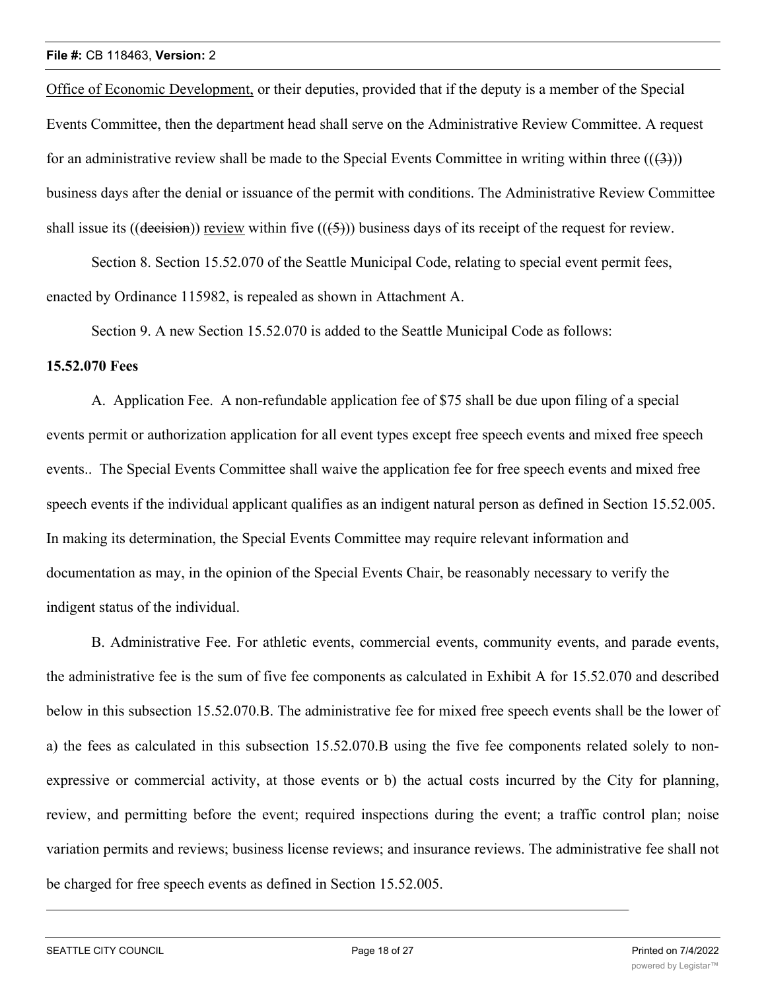Office of Economic Development, or their deputies, provided that if the deputy is a member of the Special Events Committee, then the department head shall serve on the Administrative Review Committee. A request for an administrative review shall be made to the Special Events Committee in writing within three  $((3))$ business days after the denial or issuance of the permit with conditions. The Administrative Review Committee shall issue its ((decision)) review within five  $((5))$  business days of its receipt of the request for review.

Section 8. Section 15.52.070 of the Seattle Municipal Code, relating to special event permit fees, enacted by Ordinance 115982, is repealed as shown in Attachment A.

Section 9. A new Section 15.52.070 is added to the Seattle Municipal Code as follows:

### **15.52.070 Fees**

A. Application Fee. A non-refundable application fee of \$75 shall be due upon filing of a special events permit or authorization application for all event types except free speech events and mixed free speech events.. The Special Events Committee shall waive the application fee for free speech events and mixed free speech events if the individual applicant qualifies as an indigent natural person as defined in Section 15.52.005. In making its determination, the Special Events Committee may require relevant information and documentation as may, in the opinion of the Special Events Chair, be reasonably necessary to verify the indigent status of the individual.

B. Administrative Fee. For athletic events, commercial events, community events, and parade events, the administrative fee is the sum of five fee components as calculated in Exhibit A for 15.52.070 and described below in this subsection 15.52.070.B. The administrative fee for mixed free speech events shall be the lower of a) the fees as calculated in this subsection 15.52.070.B using the five fee components related solely to nonexpressive or commercial activity, at those events or b) the actual costs incurred by the City for planning, review, and permitting before the event; required inspections during the event; a traffic control plan; noise variation permits and reviews; business license reviews; and insurance reviews. The administrative fee shall not be charged for free speech events as defined in Section 15.52.005.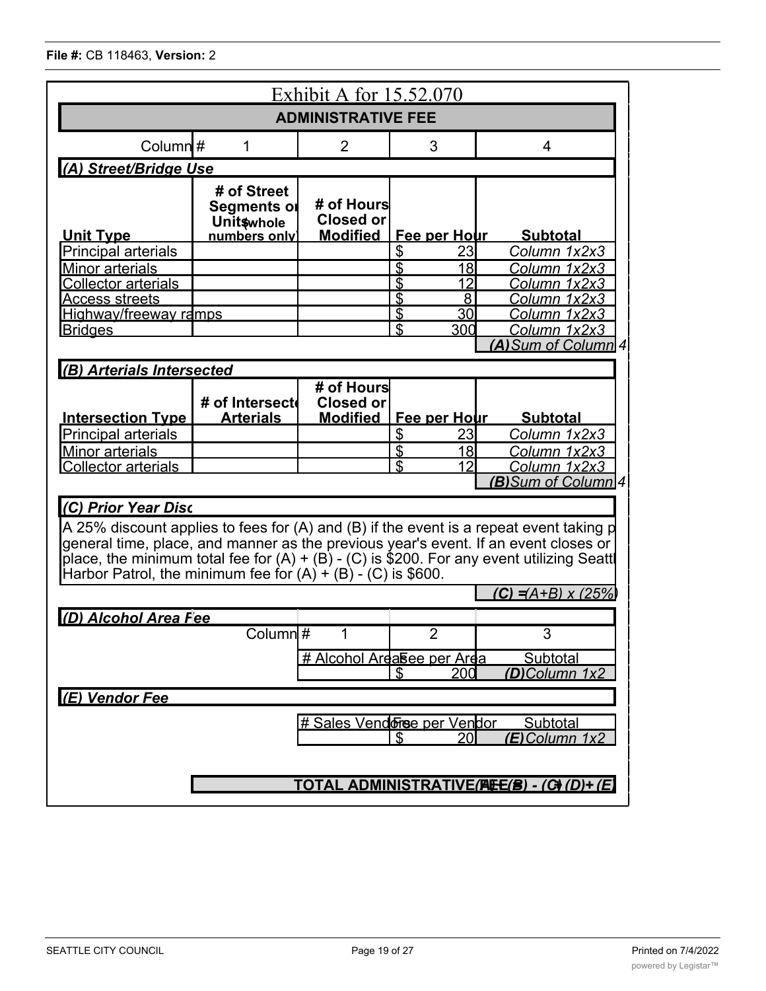| Exhibit A for 15.52.070                                                                                                                                                                                                                                                                                                                                                |                                                                 |                                            |                                 |                                              |  |  |  |
|------------------------------------------------------------------------------------------------------------------------------------------------------------------------------------------------------------------------------------------------------------------------------------------------------------------------------------------------------------------------|-----------------------------------------------------------------|--------------------------------------------|---------------------------------|----------------------------------------------|--|--|--|
| <b>ADMINISTRATIVE FEE</b>                                                                                                                                                                                                                                                                                                                                              |                                                                 |                                            |                                 |                                              |  |  |  |
| Column $#$                                                                                                                                                                                                                                                                                                                                                             | 1                                                               | $\overline{2}$                             | 3                               | $\overline{4}$                               |  |  |  |
| (A) Street/Bridge Use                                                                                                                                                                                                                                                                                                                                                  |                                                                 |                                            |                                 |                                              |  |  |  |
| <b>Unit Type</b>                                                                                                                                                                                                                                                                                                                                                       | # of Street<br>Segments or<br><b>Unit</b> whole<br>numbers only | # of Hours<br>Closed or<br><b>Modified</b> | Fee per Hour                    | <b>Subtotal</b>                              |  |  |  |
| <b>Principal arterials</b>                                                                                                                                                                                                                                                                                                                                             |                                                                 |                                            | \$<br>23                        | Column 1x2x3                                 |  |  |  |
| <b>Minor arterials</b><br><b>Collector arterials</b><br><b>Access streets</b>                                                                                                                                                                                                                                                                                          |                                                                 |                                            | \$<br>18<br>\$<br>12<br>\$<br>8 | Column 1x2x3<br>Column 1x2x3<br>Column 1x2x3 |  |  |  |
| <u>Highway/freeway ramps</u>                                                                                                                                                                                                                                                                                                                                           |                                                                 |                                            | \$<br>30 <sup>1</sup>           | Column 1x2x3                                 |  |  |  |
| $\mathfrak{L}$<br>300<br>Column 1x2x3<br><b>Bridges</b><br>(A) Sum of Column 4                                                                                                                                                                                                                                                                                         |                                                                 |                                            |                                 |                                              |  |  |  |
| (B) Arterials Intersected                                                                                                                                                                                                                                                                                                                                              |                                                                 |                                            |                                 |                                              |  |  |  |
| <b>Intersection Type</b>                                                                                                                                                                                                                                                                                                                                               | # of Intersect<br><b>Arterials</b>                              | # of Hours<br>Closed or<br><b>Modified</b> | <u>Fee per Hour</u>             | <b>Subtotal</b>                              |  |  |  |
| Principal arterials                                                                                                                                                                                                                                                                                                                                                    |                                                                 |                                            | \$<br>23                        | Column 1x2x3                                 |  |  |  |
| <b>Minor arterials</b>                                                                                                                                                                                                                                                                                                                                                 |                                                                 |                                            | \$<br>18I                       | Column 1x2x3                                 |  |  |  |
| <b>Collector arterials</b>                                                                                                                                                                                                                                                                                                                                             |                                                                 |                                            | \$<br>12                        | Column 1x2x3                                 |  |  |  |
|                                                                                                                                                                                                                                                                                                                                                                        |                                                                 |                                            |                                 | <b>(B)</b> Sum of Column 4                   |  |  |  |
| (C) Prior Year Disc<br>A 25% discount applies to fees for (A) and (B) if the event is a repeat event taking p<br>general time, place, and manner as the previous year's event. If an event closes or<br>place, the minimum total fee for $(A) + (B)$ - $(C)$ is \$200. For any event utilizing Seatt<br>Harbor Patrol, the minimum fee for $(A) + (B) - (C)$ is \$600. |                                                                 |                                            |                                 |                                              |  |  |  |
| $(C) = (A+B) \times (25\%)$                                                                                                                                                                                                                                                                                                                                            |                                                                 |                                            |                                 |                                              |  |  |  |
| (D) Alcohol Area Fee<br>Column #<br>3<br>$\overline{2}$<br>1                                                                                                                                                                                                                                                                                                           |                                                                 |                                            |                                 |                                              |  |  |  |
| <u># Alcohol Ardasee per Arda</u><br>Subtotal<br>200<br>(D)Column 1x2<br>S                                                                                                                                                                                                                                                                                             |                                                                 |                                            |                                 |                                              |  |  |  |
| (E) Vendor Fee                                                                                                                                                                                                                                                                                                                                                         |                                                                 |                                            |                                 |                                              |  |  |  |
| # Sales Vendorse per Vendor<br>Subtotal<br>\$<br>20I<br>(E)Column 1x2                                                                                                                                                                                                                                                                                                  |                                                                 |                                            |                                 |                                              |  |  |  |
| TOTAL ADMINISTRATIVE(AEE(B) - (C)(D)+ (E)                                                                                                                                                                                                                                                                                                                              |                                                                 |                                            |                                 |                                              |  |  |  |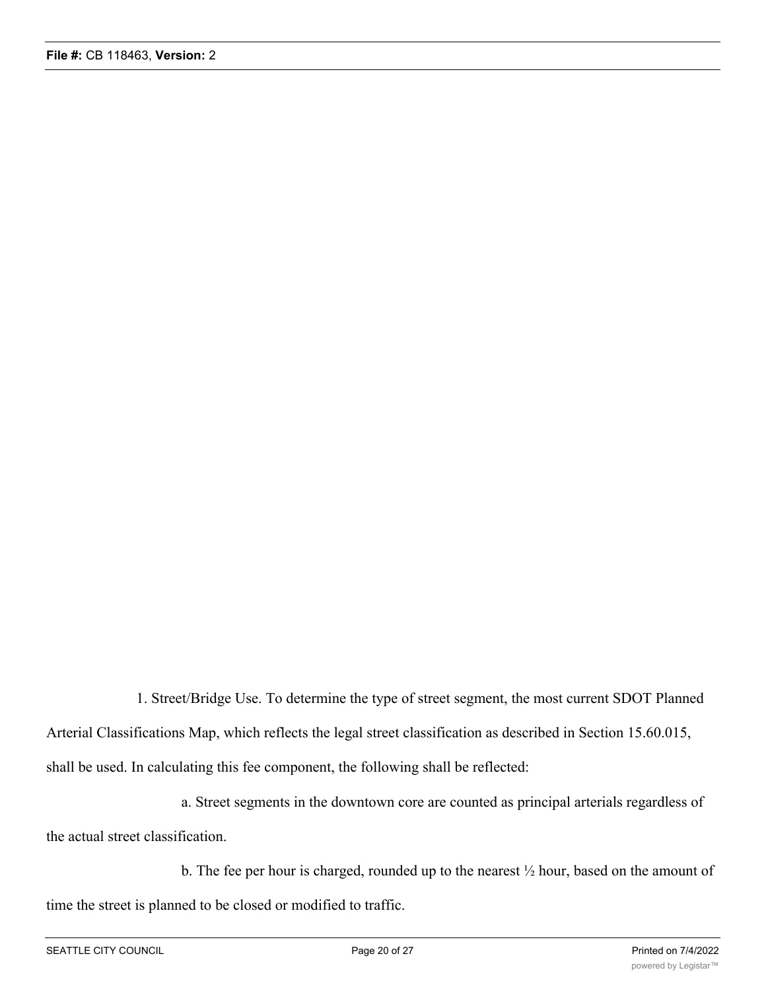1. Street/Bridge Use. To determine the type of street segment, the most current SDOT Planned Arterial Classifications Map, which reflects the legal street classification as described in Section 15.60.015, shall be used. In calculating this fee component, the following shall be reflected:

a. Street segments in the downtown core are counted as principal arterials regardless of the actual street classification.

b. The fee per hour is charged, rounded up to the nearest ½ hour, based on the amount of time the street is planned to be closed or modified to traffic.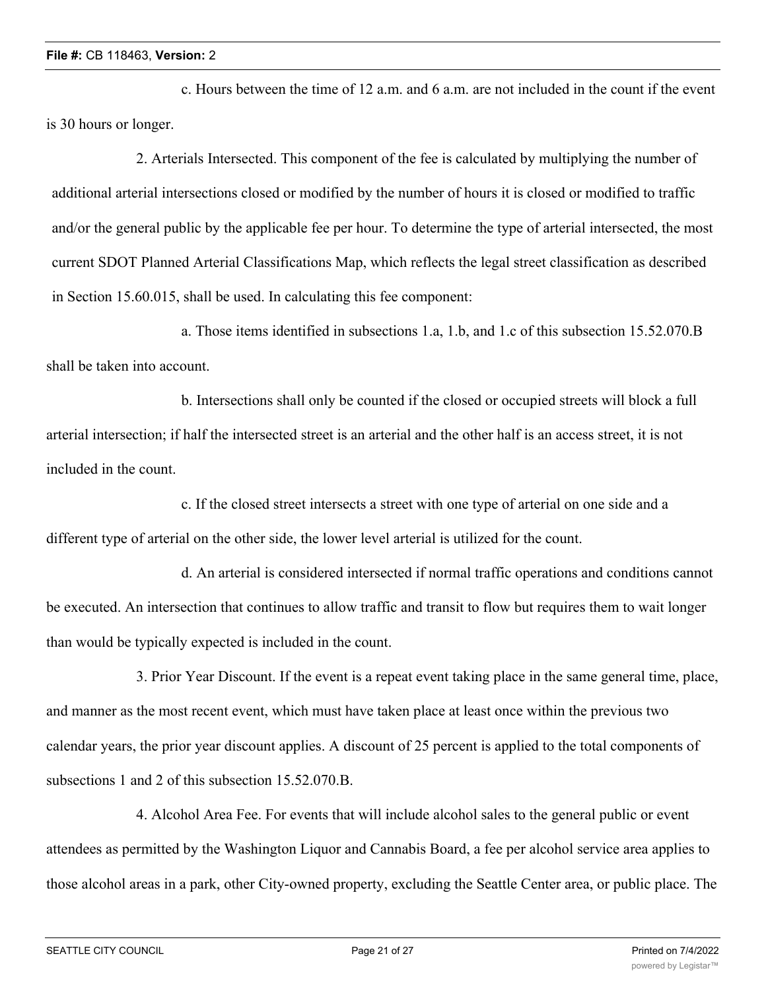c. Hours between the time of 12 a.m. and 6 a.m. are not included in the count if the event is 30 hours or longer.

2. Arterials Intersected. This component of the fee is calculated by multiplying the number of additional arterial intersections closed or modified by the number of hours it is closed or modified to traffic and/or the general public by the applicable fee per hour. To determine the type of arterial intersected, the most current SDOT Planned Arterial Classifications Map, which reflects the legal street classification as described in Section 15.60.015, shall be used. In calculating this fee component:

a. Those items identified in subsections 1.a, 1.b, and 1.c of this subsection 15.52.070.B shall be taken into account.

b. Intersections shall only be counted if the closed or occupied streets will block a full arterial intersection; if half the intersected street is an arterial and the other half is an access street, it is not included in the count.

c. If the closed street intersects a street with one type of arterial on one side and a different type of arterial on the other side, the lower level arterial is utilized for the count.

d. An arterial is considered intersected if normal traffic operations and conditions cannot be executed. An intersection that continues to allow traffic and transit to flow but requires them to wait longer than would be typically expected is included in the count.

3. Prior Year Discount. If the event is a repeat event taking place in the same general time, place, and manner as the most recent event, which must have taken place at least once within the previous two calendar years, the prior year discount applies. A discount of 25 percent is applied to the total components of subsections 1 and 2 of this subsection 15.52.070.B.

4. Alcohol Area Fee. For events that will include alcohol sales to the general public or event attendees as permitted by the Washington Liquor and Cannabis Board, a fee per alcohol service area applies to those alcohol areas in a park, other City-owned property, excluding the Seattle Center area, or public place. The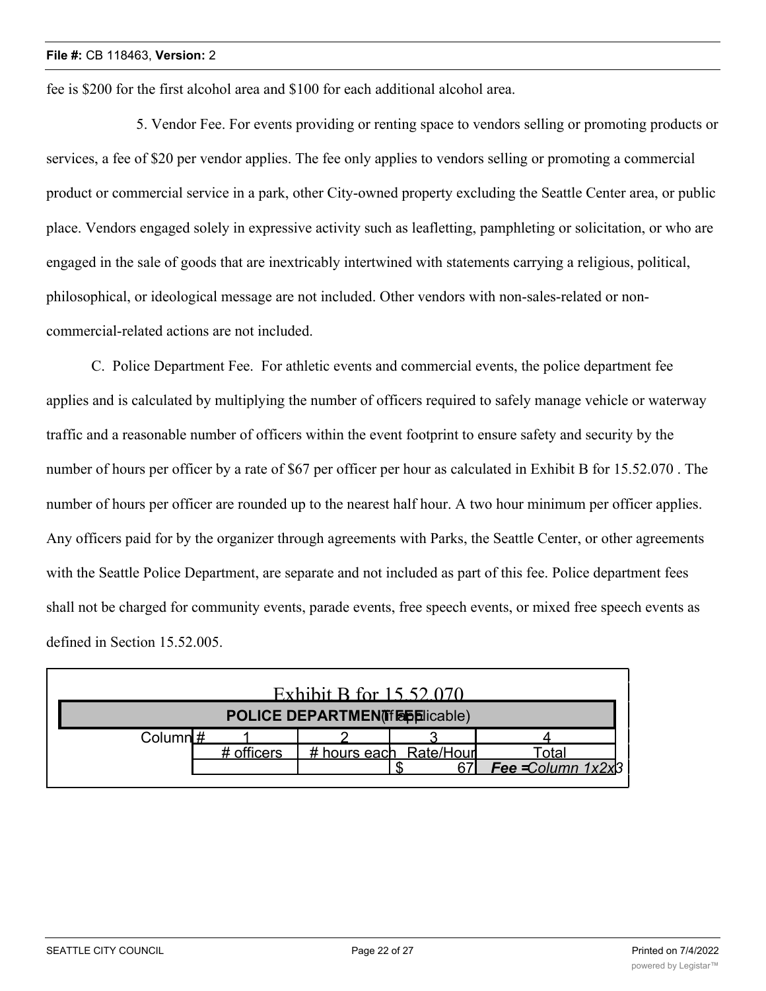fee is \$200 for the first alcohol area and \$100 for each additional alcohol area.

5. Vendor Fee. For events providing or renting space to vendors selling or promoting products or services, a fee of \$20 per vendor applies. The fee only applies to vendors selling or promoting a commercial product or commercial service in a park, other City-owned property excluding the Seattle Center area, or public place. Vendors engaged solely in expressive activity such as leafletting, pamphleting or solicitation, or who are engaged in the sale of goods that are inextricably intertwined with statements carrying a religious, political, philosophical, or ideological message are not included. Other vendors with non-sales-related or noncommercial-related actions are not included.

C. Police Department Fee. For athletic events and commercial events, the police department fee applies and is calculated by multiplying the number of officers required to safely manage vehicle or waterway traffic and a reasonable number of officers within the event footprint to ensure safety and security by the number of hours per officer by a rate of \$67 per officer per hour as calculated in Exhibit B for 15.52.070 . The number of hours per officer are rounded up to the nearest half hour. A two hour minimum per officer applies. Any officers paid for by the organizer through agreements with Parks, the Seattle Center, or other agreements with the Seattle Police Department, are separate and not included as part of this fee. Police department fees shall not be charged for community events, parade events, free speech events, or mixed free speech events as defined in Section 15.52.005.

| Exhibit B for 15.52.070              |            |  |                        |                      |  |  |
|--------------------------------------|------------|--|------------------------|----------------------|--|--|
| <b>POLICE DEPARTMENT FEEDICAble)</b> |            |  |                        |                      |  |  |
| Column $#$                           |            |  |                        |                      |  |  |
|                                      | # officers |  | # hours each Rate/Hour | Total                |  |  |
|                                      |            |  |                        | Fee = Column $1x2x3$ |  |  |
|                                      |            |  |                        |                      |  |  |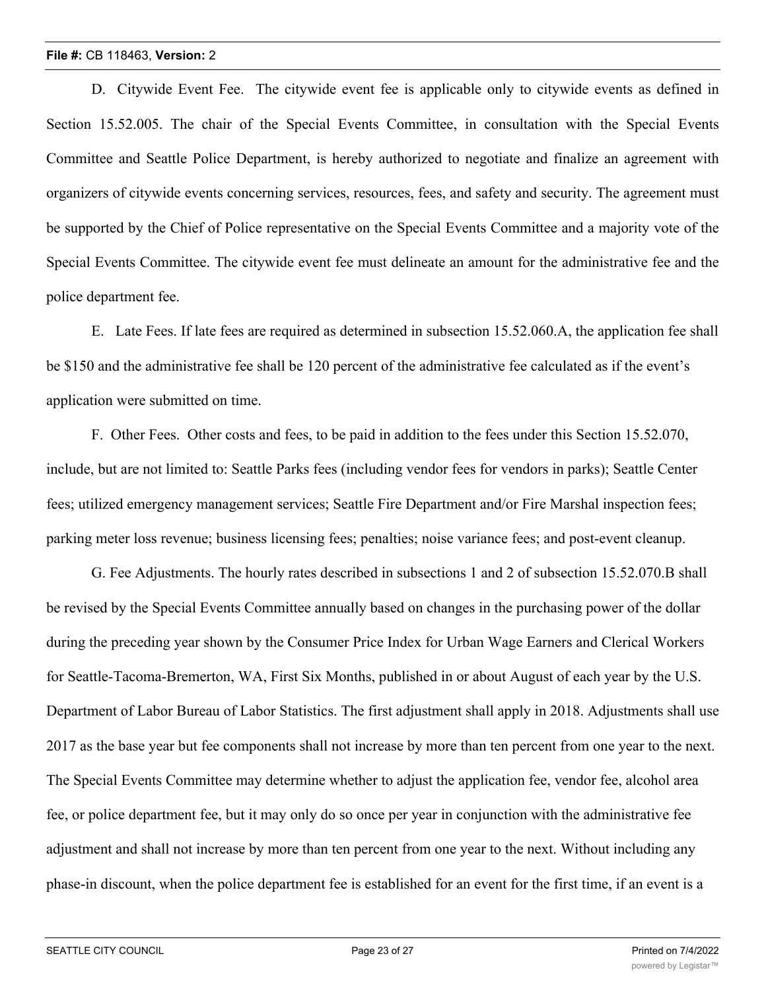D. Citywide Event Fee. The citywide event fee is applicable only to citywide events as defined in Section 15.52.005. The chair of the Special Events Committee, in consultation with the Special Events Committee and Seattle Police Department, is hereby authorized to negotiate and finalize an agreement with organizers of citywide events concerning services, resources, fees, and safety and security. The agreement must be supported by the Chief of Police representative on the Special Events Committee and a majority vote of the Special Events Committee. The citywide event fee must delineate an amount for the administrative fee and the police department fee.

E. Late Fees. If late fees are required as determined in subsection 15.52.060.A, the application fee shall be \$150 and the administrative fee shall be 120 percent of the administrative fee calculated as if the event's application were submitted on time.

F. Other Fees. Other costs and fees, to be paid in addition to the fees under this Section 15.52.070, include, but are not limited to: Seattle Parks fees (including vendor fees for vendors in parks); Seattle Center fees; utilized emergency management services; Seattle Fire Department and/or Fire Marshal inspection fees; parking meter loss revenue; business licensing fees; penalties; noise variance fees; and post-event cleanup.

G. Fee Adjustments. The hourly rates described in subsections 1 and 2 of subsection 15.52.070.B shall be revised by the Special Events Committee annually based on changes in the purchasing power of the dollar during the preceding year shown by the Consumer Price Index for Urban Wage Earners and Clerical Workers for Seattle-Tacoma-Bremerton, WA, First Six Months, published in or about August of each year by the U.S. Department of Labor Bureau of Labor Statistics. The first adjustment shall apply in 2018. Adjustments shall use 2017 as the base year but fee components shall not increase by more than ten percent from one year to the next. The Special Events Committee may determine whether to adjust the application fee, vendor fee, alcohol area fee, or police department fee, but it may only do so once per year in conjunction with the administrative fee adjustment and shall not increase by more than ten percent from one year to the next. Without including any phase-in discount, when the police department fee is established for an event for the first time, if an event is a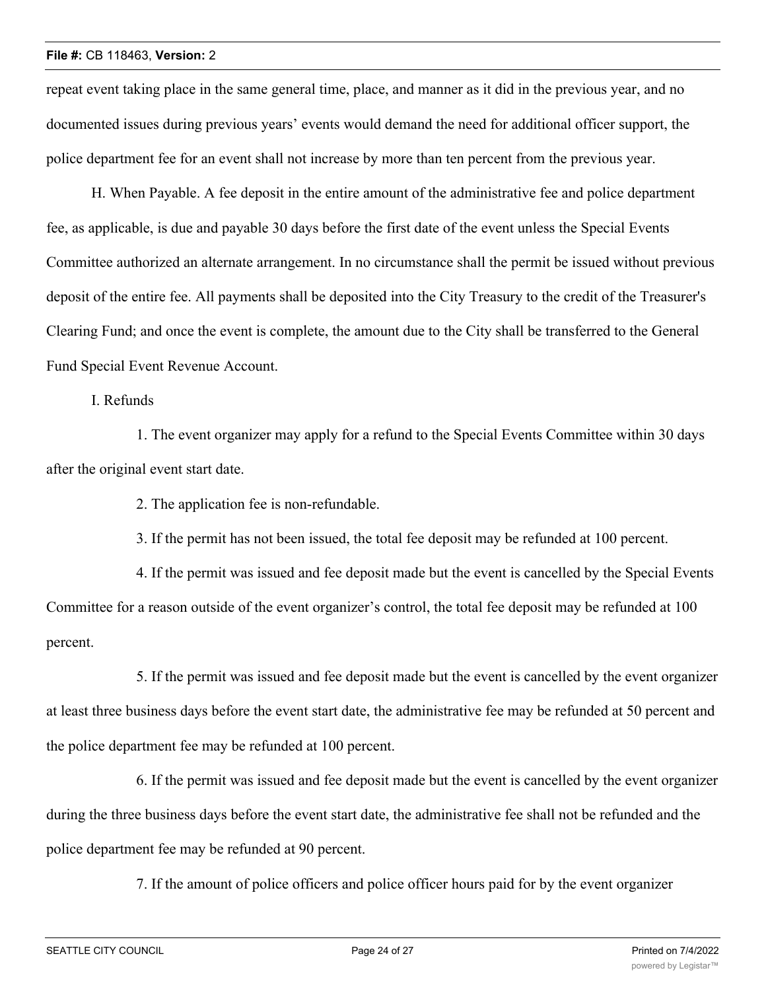repeat event taking place in the same general time, place, and manner as it did in the previous year, and no documented issues during previous years' events would demand the need for additional officer support, the police department fee for an event shall not increase by more than ten percent from the previous year.

H. When Payable. A fee deposit in the entire amount of the administrative fee and police department fee, as applicable, is due and payable 30 days before the first date of the event unless the Special Events Committee authorized an alternate arrangement. In no circumstance shall the permit be issued without previous deposit of the entire fee. All payments shall be deposited into the City Treasury to the credit of the Treasurer's Clearing Fund; and once the event is complete, the amount due to the City shall be transferred to the General Fund Special Event Revenue Account.

I. Refunds

1. The event organizer may apply for a refund to the Special Events Committee within 30 days after the original event start date.

2. The application fee is non-refundable.

3. If the permit has not been issued, the total fee deposit may be refunded at 100 percent.

4. If the permit was issued and fee deposit made but the event is cancelled by the Special Events Committee for a reason outside of the event organizer's control, the total fee deposit may be refunded at 100 percent.

5. If the permit was issued and fee deposit made but the event is cancelled by the event organizer at least three business days before the event start date, the administrative fee may be refunded at 50 percent and the police department fee may be refunded at 100 percent.

6. If the permit was issued and fee deposit made but the event is cancelled by the event organizer during the three business days before the event start date, the administrative fee shall not be refunded and the police department fee may be refunded at 90 percent.

7. If the amount of police officers and police officer hours paid for by the event organizer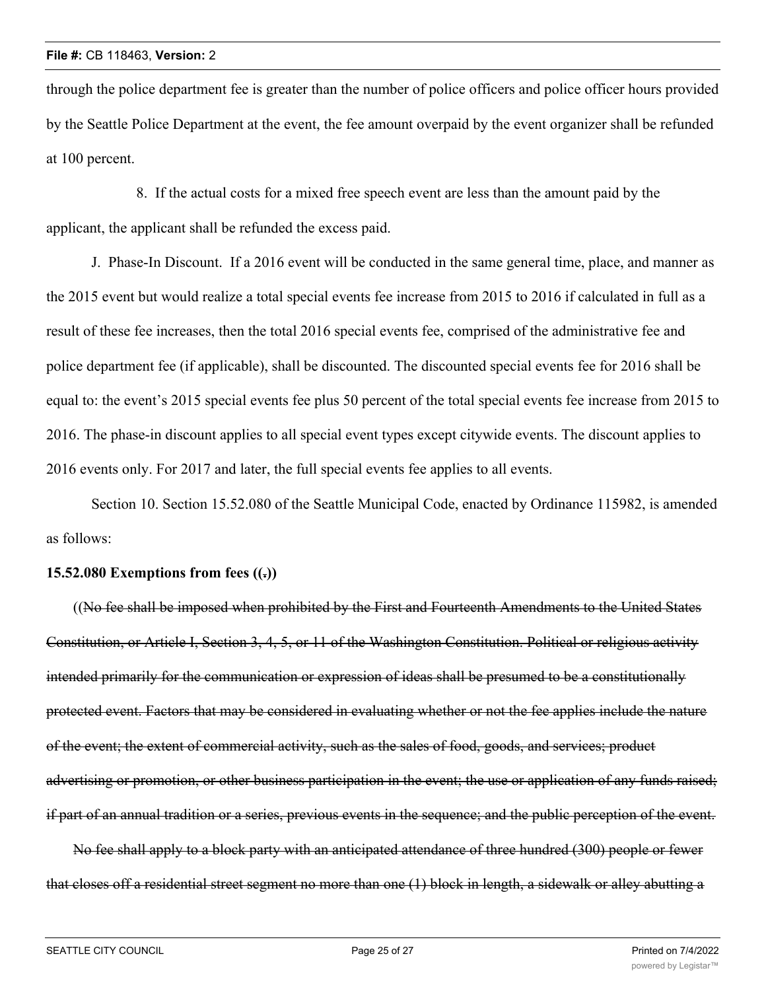through the police department fee is greater than the number of police officers and police officer hours provided by the Seattle Police Department at the event, the fee amount overpaid by the event organizer shall be refunded at 100 percent.

8. If the actual costs for a mixed free speech event are less than the amount paid by the applicant, the applicant shall be refunded the excess paid.

J. Phase-In Discount. If a 2016 event will be conducted in the same general time, place, and manner as the 2015 event but would realize a total special events fee increase from 2015 to 2016 if calculated in full as a result of these fee increases, then the total 2016 special events fee, comprised of the administrative fee and police department fee (if applicable), shall be discounted. The discounted special events fee for 2016 shall be equal to: the event's 2015 special events fee plus 50 percent of the total special events fee increase from 2015 to 2016. The phase-in discount applies to all special event types except citywide events. The discount applies to 2016 events only. For 2017 and later, the full special events fee applies to all events.

Section 10. Section 15.52.080 of the Seattle Municipal Code, enacted by Ordinance 115982, is amended as follows:

### **15.52.080 Exemptions from fees ((.))**

((No fee shall be imposed when prohibited by the First and Fourteenth Amendments to the United States Constitution, or Article I, Section 3, 4, 5, or 11 of the Washington Constitution. Political or religious activity intended primarily for the communication or expression of ideas shall be presumed to be a constitutionally protected event. Factors that may be considered in evaluating whether or not the fee applies include the nature of the event; the extent of commercial activity, such as the sales of food, goods, and services; product advertising or promotion, or other business participation in the event; the use or application of any funds raised; if part of an annual tradition or a series, previous events in the sequence; and the public perception of the event.

No fee shall apply to a block party with an anticipated attendance of three hundred (300) people or fewer that closes off a residential street segment no more than one (1) block in length, a sidewalk or alley abutting a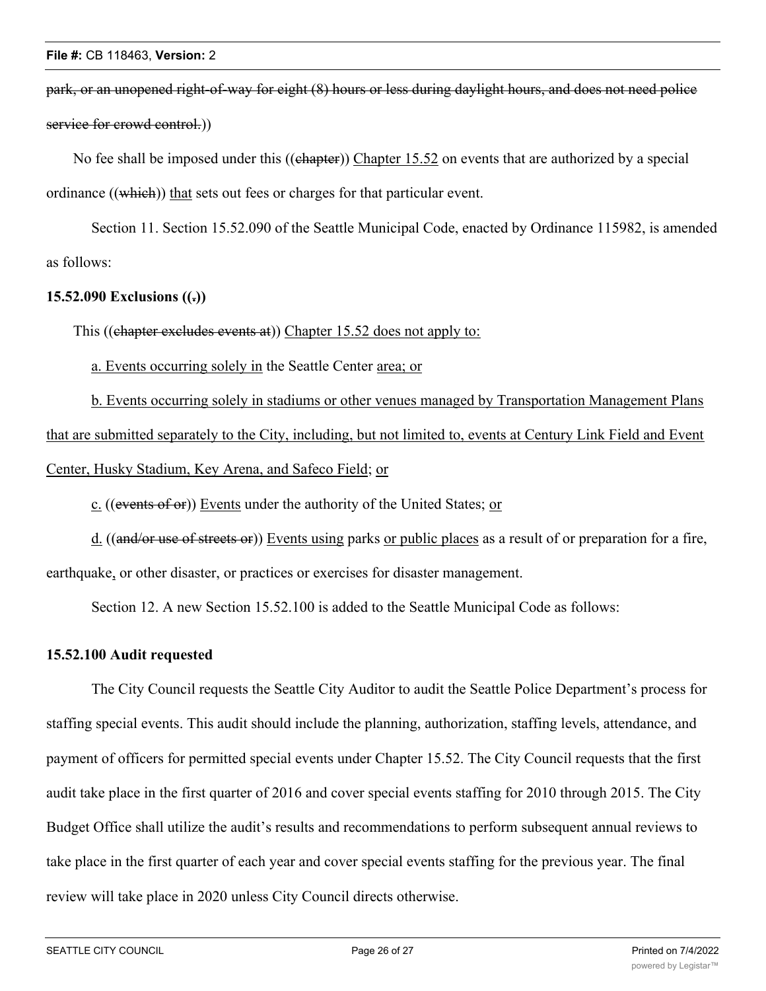park, or an unopened right-of-way for eight (8) hours or less during daylight hours, and does not need police service for crowd control.))

No fee shall be imposed under this ((chapter)) Chapter 15.52 on events that are authorized by a special ordinance ((which)) that sets out fees or charges for that particular event.

Section 11. Section 15.52.090 of the Seattle Municipal Code, enacted by Ordinance 115982, is amended as follows:

### **15.52.090 Exclusions ((.))**

This ((chapter excludes events at)) Chapter 15.52 does not apply to:

a. Events occurring solely in the Seattle Center area; or

b. Events occurring solely in stadiums or other venues managed by Transportation Management Plans that are submitted separately to the City, including, but not limited to, events at Century Link Field and Event Center, Husky Stadium, Key Arena, and Safeco Field; or

c. ((events of or)) Events under the authority of the United States; or

d. ((and/or use of streets or)) Events using parks or public places as a result of or preparation for a fire, earthquake, or other disaster, or practices or exercises for disaster management.

Section 12. A new Section 15.52.100 is added to the Seattle Municipal Code as follows:

#### **15.52.100 Audit requested**

The City Council requests the Seattle City Auditor to audit the Seattle Police Department's process for staffing special events. This audit should include the planning, authorization, staffing levels, attendance, and payment of officers for permitted special events under Chapter 15.52. The City Council requests that the first audit take place in the first quarter of 2016 and cover special events staffing for 2010 through 2015. The City Budget Office shall utilize the audit's results and recommendations to perform subsequent annual reviews to take place in the first quarter of each year and cover special events staffing for the previous year. The final review will take place in 2020 unless City Council directs otherwise.